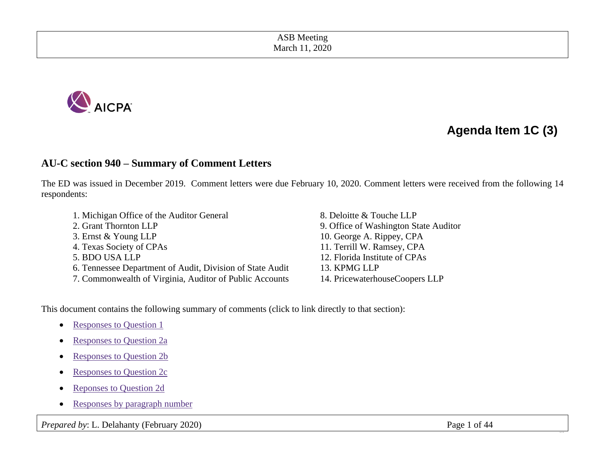ASB Meeting March 11, 2020



# **Agenda Item 1C (3)**

## **AU-C section 940 – Summary of Comment Letters**

The ED was issued in December 2019. Comment letters were due February 10, 2020. Comment letters were received from the following 14 respondents:

- 1. Michigan Office of the Auditor General 8. Deloitte & Touche LLP
- 
- 
- 
- 
- 6. Tennessee Department of Audit, Division of State Audit 13. KPMG LLP
- 7. Commonwealth of Virginia, Auditor of Public Accounts 14. PricewaterhouseCoopers LLP
- 2. Grant Thornton LLP 9. Office of Washington State Auditor 3. Ernst & Young LLP 10. George A. Rippey, CPA 4. Texas Society of CPAs 11. Terrill W. Ramsey, CPA 5. BDO USA LLP 12. Florida Institute of CPAs

This document contains the following summary of comments (click to link directly to that section):

- [Responses to Question 1](#page-1-0)
- [Responses to Question 2a](#page-7-0)
- [Responses to Question 2b](#page-14-0)
- [Responses to Question 2c](#page-19-0)
- [Reponses to Question 2d](#page-24-0)
- [Responses by paragraph number](#page-32-0)

*Prepared by*: L. Delahanty (February 2020) Page 1 of 44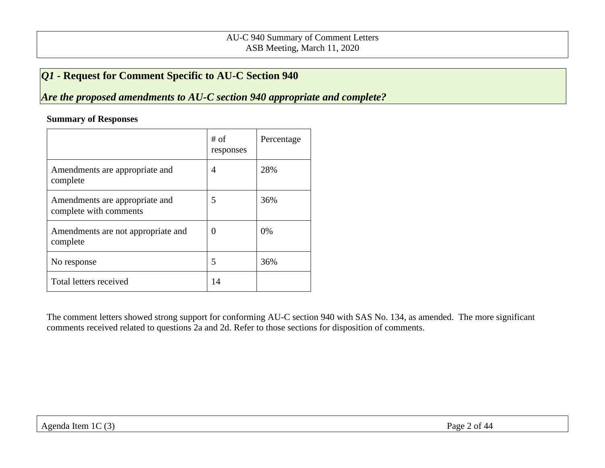# <span id="page-1-0"></span>*Q1 -* **Request for Comment Specific to AU-C Section 940**

*Are the proposed amendments to AU-C section 940 appropriate and complete?* 

#### **Summary of Responses**

|                                                          | # of<br>responses | Percentage |
|----------------------------------------------------------|-------------------|------------|
| Amendments are appropriate and<br>complete               | $\overline{4}$    | 28%        |
| Amendments are appropriate and<br>complete with comments | 5                 | 36%        |
| Amendments are not appropriate and<br>complete           | $\theta$          | 0%         |
| No response                                              | 5                 | 36%        |
| Total letters received                                   | 14                |            |

The comment letters showed strong support for conforming AU-C section 940 with SAS No. 134, as amended. The more significant comments received related to questions 2a and 2d. Refer to those sections for disposition of comments.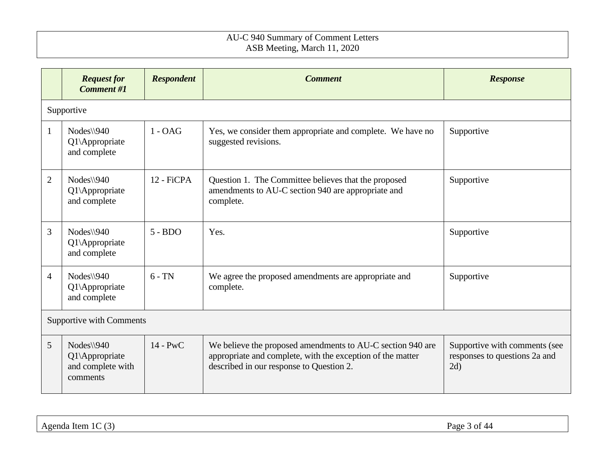|                | <b>Request for</b><br><b>Comment #1</b>                       | <b>Respondent</b> | <b>Comment</b>                                                                                                                                                       | <b>Response</b>                                                       |  |  |
|----------------|---------------------------------------------------------------|-------------------|----------------------------------------------------------------------------------------------------------------------------------------------------------------------|-----------------------------------------------------------------------|--|--|
|                | Supportive                                                    |                   |                                                                                                                                                                      |                                                                       |  |  |
| $\mathbf{1}$   | $Nodes \$ 940<br>Q1\Appropriate<br>and complete               | $1 - OAG$         | Yes, we consider them appropriate and complete. We have no<br>suggested revisions.                                                                                   | Supportive                                                            |  |  |
| 2              | $Nodes \$ 940<br>Q1\Appropriate<br>and complete               | 12 - FiCPA        | Question 1. The Committee believes that the proposed<br>amendments to AU-C section 940 are appropriate and<br>complete.                                              | Supportive                                                            |  |  |
| 3              | $Nodes \$ 940<br>Q1\Appropriate<br>and complete               | $5 - BDO$         | Yes.                                                                                                                                                                 | Supportive                                                            |  |  |
| $\overline{4}$ | $Nodes \$ 940<br>Q1\Appropriate<br>and complete               | $6 - TN$          | We agree the proposed amendments are appropriate and<br>complete.                                                                                                    | Supportive                                                            |  |  |
|                | <b>Supportive with Comments</b>                               |                   |                                                                                                                                                                      |                                                                       |  |  |
| 5              | Nodes\\940<br>Q1\Appropriate<br>and complete with<br>comments | $14 - PWC$        | We believe the proposed amendments to AU-C section 940 are<br>appropriate and complete, with the exception of the matter<br>described in our response to Question 2. | Supportive with comments (see<br>responses to questions 2a and<br>2d) |  |  |

| $\sim$<br>1C<br>Agenda<br>Item<br>.<br>. . | $\sim$<br>Page.<br>-of 44<br>. . |
|--------------------------------------------|----------------------------------|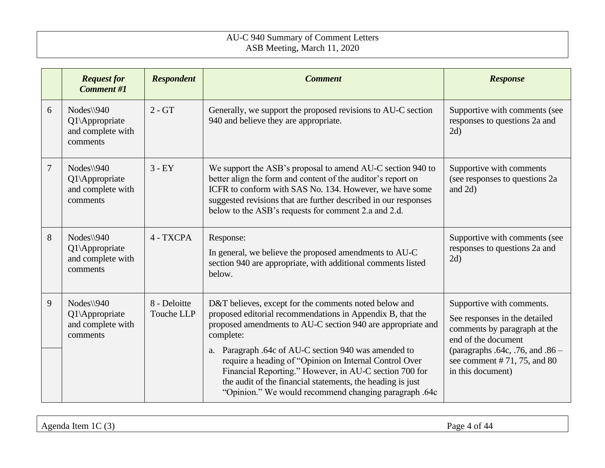|   | <b>Request for</b><br><b>Comment #1</b>                          | <b>Respondent</b>          | <b>Comment</b>                                                                                                                                                                                                                                                                                                                                                                                                                                                                                        | <b>Response</b>                                                                                                                                                                                            |
|---|------------------------------------------------------------------|----------------------------|-------------------------------------------------------------------------------------------------------------------------------------------------------------------------------------------------------------------------------------------------------------------------------------------------------------------------------------------------------------------------------------------------------------------------------------------------------------------------------------------------------|------------------------------------------------------------------------------------------------------------------------------------------------------------------------------------------------------------|
| 6 | $Nodes \$ 940<br>Q1\Appropriate<br>and complete with<br>comments | $2 - GT$                   | Generally, we support the proposed revisions to AU-C section<br>940 and believe they are appropriate.                                                                                                                                                                                                                                                                                                                                                                                                 | Supportive with comments (see<br>responses to questions 2a and<br>2d)                                                                                                                                      |
| 7 | $Nodes \$ 940<br>Q1\Appropriate<br>and complete with<br>comments | $3 - EY$                   | We support the ASB's proposal to amend AU-C section 940 to<br>better align the form and content of the auditor's report on<br>ICFR to conform with SAS No. 134. However, we have some<br>suggested revisions that are further described in our responses<br>below to the ASB's requests for comment 2.a and 2.d.                                                                                                                                                                                      | Supportive with comments<br>(see responses to questions 2a<br>and 2d)                                                                                                                                      |
| 8 | $Nodes \$ 940<br>Q1\Appropriate<br>and complete with<br>comments | 4 - TXCPA                  | Response:<br>In general, we believe the proposed amendments to AU-C<br>section 940 are appropriate, with additional comments listed<br>below.                                                                                                                                                                                                                                                                                                                                                         | Supportive with comments (see<br>responses to questions 2a and<br>2d)                                                                                                                                      |
| 9 | $Nodes \$ 940<br>Q1\Appropriate<br>and complete with<br>comments | 8 - Deloitte<br>Touche LLP | D&T believes, except for the comments noted below and<br>proposed editorial recommendations in Appendix B, that the<br>proposed amendments to AU-C section 940 are appropriate and<br>complete:<br>Paragraph .64c of AU-C section 940 was amended to<br>a.<br>require a heading of "Opinion on Internal Control Over<br>Financial Reporting." However, in AU-C section 700 for<br>the audit of the financial statements, the heading is just<br>"Opinion." We would recommend changing paragraph .64c | Supportive with comments.<br>See responses in the detailed<br>comments by paragraph at the<br>end of the document<br>(paragraphs .64c, .76, and .86 -<br>see comment # 71, 75, and 80<br>in this document) |

Agenda Item 1C (3) Page 4 of 44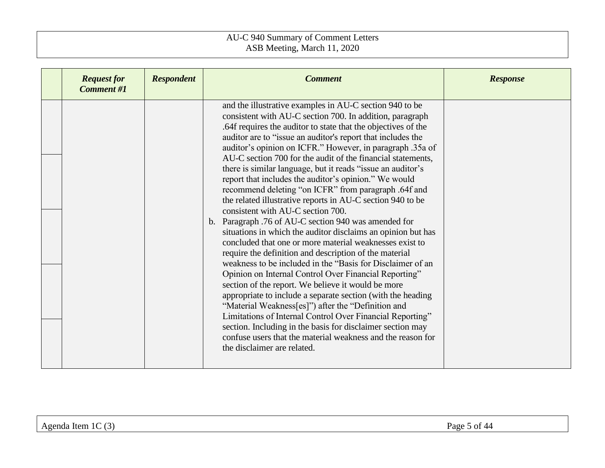| <b>Request for</b><br><b>Comment #1</b> | <b>Respondent</b> | <b>Comment</b>                                                                                                                                                                                                                                                                                                                                                                                                                                                                                                                                                                                                                                                                                                                                                                                                                                                                                                                                                                                                                                                                                                                                                                                                                                                                                                                                                                                                                             | <b>Response</b> |
|-----------------------------------------|-------------------|--------------------------------------------------------------------------------------------------------------------------------------------------------------------------------------------------------------------------------------------------------------------------------------------------------------------------------------------------------------------------------------------------------------------------------------------------------------------------------------------------------------------------------------------------------------------------------------------------------------------------------------------------------------------------------------------------------------------------------------------------------------------------------------------------------------------------------------------------------------------------------------------------------------------------------------------------------------------------------------------------------------------------------------------------------------------------------------------------------------------------------------------------------------------------------------------------------------------------------------------------------------------------------------------------------------------------------------------------------------------------------------------------------------------------------------------|-----------------|
|                                         |                   | and the illustrative examples in AU-C section 940 to be<br>consistent with AU-C section 700. In addition, paragraph<br>.64f requires the auditor to state that the objectives of the<br>auditor are to "issue an auditor's report that includes the<br>auditor's opinion on ICFR." However, in paragraph .35a of<br>AU-C section 700 for the audit of the financial statements,<br>there is similar language, but it reads "issue an auditor's<br>report that includes the auditor's opinion." We would<br>recommend deleting "on ICFR" from paragraph .64f and<br>the related illustrative reports in AU-C section 940 to be<br>consistent with AU-C section 700.<br>b. Paragraph .76 of AU-C section 940 was amended for<br>situations in which the auditor disclaims an opinion but has<br>concluded that one or more material weaknesses exist to<br>require the definition and description of the material<br>weakness to be included in the "Basis for Disclaimer of an<br>Opinion on Internal Control Over Financial Reporting"<br>section of the report. We believe it would be more<br>appropriate to include a separate section (with the heading<br>"Material Weakness[es]") after the "Definition and<br>Limitations of Internal Control Over Financial Reporting"<br>section. Including in the basis for disclaimer section may<br>confuse users that the material weakness and the reason for<br>the disclaimer are related. |                 |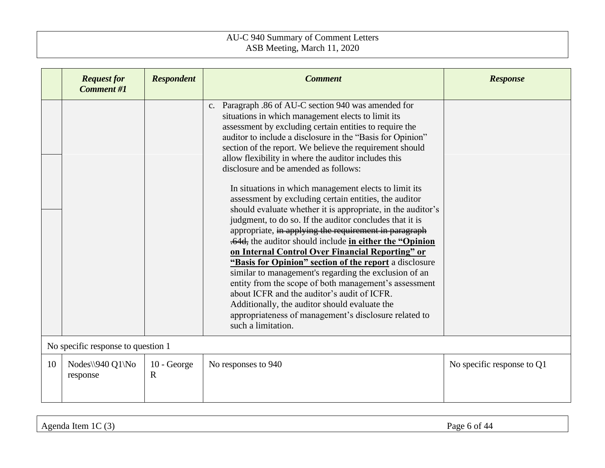|    | <b>Request for</b><br><b>Comment #1</b> | <b>Respondent</b>          | <b>Comment</b>                                                                                                                                                                                                                                                                                                                                                                                                                                                                                                                                                                                                                                                                                                                                                                                                                                                                                                                                                                                                                                                                                                                                                                   | <b>Response</b>            |  |
|----|-----------------------------------------|----------------------------|----------------------------------------------------------------------------------------------------------------------------------------------------------------------------------------------------------------------------------------------------------------------------------------------------------------------------------------------------------------------------------------------------------------------------------------------------------------------------------------------------------------------------------------------------------------------------------------------------------------------------------------------------------------------------------------------------------------------------------------------------------------------------------------------------------------------------------------------------------------------------------------------------------------------------------------------------------------------------------------------------------------------------------------------------------------------------------------------------------------------------------------------------------------------------------|----------------------------|--|
|    |                                         |                            | c. Paragraph .86 of AU-C section 940 was amended for<br>situations in which management elects to limit its<br>assessment by excluding certain entities to require the<br>auditor to include a disclosure in the "Basis for Opinion"<br>section of the report. We believe the requirement should<br>allow flexibility in where the auditor includes this<br>disclosure and be amended as follows:<br>In situations in which management elects to limit its<br>assessment by excluding certain entities, the auditor<br>should evaluate whether it is appropriate, in the auditor's<br>judgment, to do so. If the auditor concludes that it is<br>appropriate, in applying the requirement in paragraph<br>.64d, the auditor should include in either the "Opinion"<br>on Internal Control Over Financial Reporting" or<br>"Basis for Opinion" section of the report a disclosure<br>similar to management's regarding the exclusion of an<br>entity from the scope of both management's assessment<br>about ICFR and the auditor's audit of ICFR.<br>Additionally, the auditor should evaluate the<br>appropriateness of management's disclosure related to<br>such a limitation. |                            |  |
|    | No specific response to question 1      |                            |                                                                                                                                                                                                                                                                                                                                                                                                                                                                                                                                                                                                                                                                                                                                                                                                                                                                                                                                                                                                                                                                                                                                                                                  |                            |  |
| 10 | Nodes\\ $940 Q1\$ No<br>response        | 10 - George<br>$\mathbf R$ | No responses to 940                                                                                                                                                                                                                                                                                                                                                                                                                                                                                                                                                                                                                                                                                                                                                                                                                                                                                                                                                                                                                                                                                                                                                              | No specific response to Q1 |  |

Agenda Item 1C (3) Page 6 of 44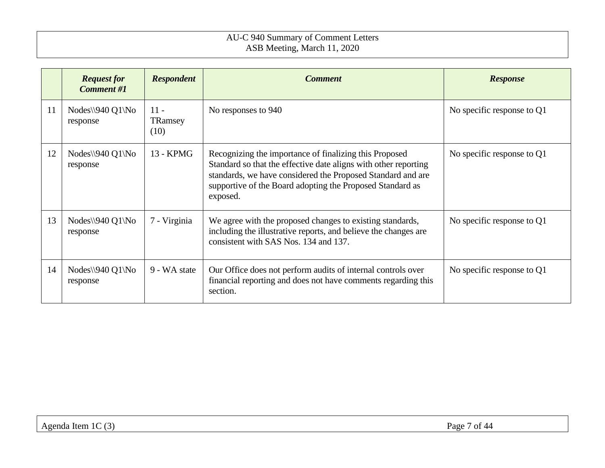|    | <b>Request for</b><br><b>Comment #1</b> | <b>Respondent</b>         | <b>Comment</b>                                                                                                                                                                                                                                                    | <b>Response</b>              |
|----|-----------------------------------------|---------------------------|-------------------------------------------------------------------------------------------------------------------------------------------------------------------------------------------------------------------------------------------------------------------|------------------------------|
| 11 | $Nodes \$ 940 Q1 \No<br>response        | $11 -$<br>TRamsey<br>(10) | No responses to 940                                                                                                                                                                                                                                               | No specific response to $Q1$ |
| 12 | Nodes\\940 Q1\No<br>response            | 13 - KPMG                 | Recognizing the importance of finalizing this Proposed<br>Standard so that the effective date aligns with other reporting<br>standards, we have considered the Proposed Standard and are<br>supportive of the Board adopting the Proposed Standard as<br>exposed. | No specific response to $Q1$ |
| 13 | Nodes\\ $940 Q1\$ No<br>response        | 7 - Virginia              | We agree with the proposed changes to existing standards,<br>including the illustrative reports, and believe the changes are<br>consistent with SAS Nos. 134 and 137.                                                                                             | No specific response to $Q1$ |
| 14 | Nodes\\940 Q1\No<br>response            | 9 - WA state              | Our Office does not perform audits of internal controls over<br>financial reporting and does not have comments regarding this<br>section.                                                                                                                         | No specific response to Q1   |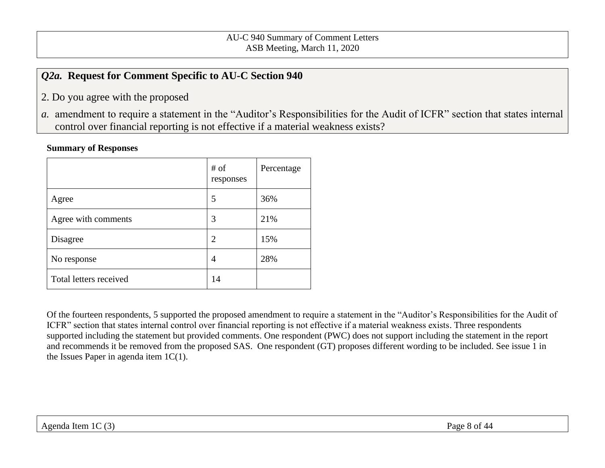# <span id="page-7-0"></span>*Q2a.* **Request for Comment Specific to AU-C Section 940**

- 2. Do you agree with the proposed
- *a.* amendment to require a statement in the "Auditor's Responsibilities for the Audit of ICFR" section that states internal control over financial reporting is not effective if a material weakness exists?

#### **Summary of Responses**

|                        | # of<br>responses | Percentage |
|------------------------|-------------------|------------|
| Agree                  | 5                 | 36%        |
| Agree with comments    | 3                 | 21%        |
| Disagree               | 2                 | 15%        |
| No response            | 4                 | 28%        |
| Total letters received | 14                |            |

Of the fourteen respondents, 5 supported the proposed amendment to require a statement in the "Auditor's Responsibilities for the Audit of ICFR" section that states internal control over financial reporting is not effective if a material weakness exists. Three respondents supported including the statement but provided comments. One respondent (PWC) does not support including the statement in the report and recommends it be removed from the proposed SAS. One respondent (GT) proposes different wording to be included. See issue 1 in the Issues Paper in agenda item  $1C(1)$ .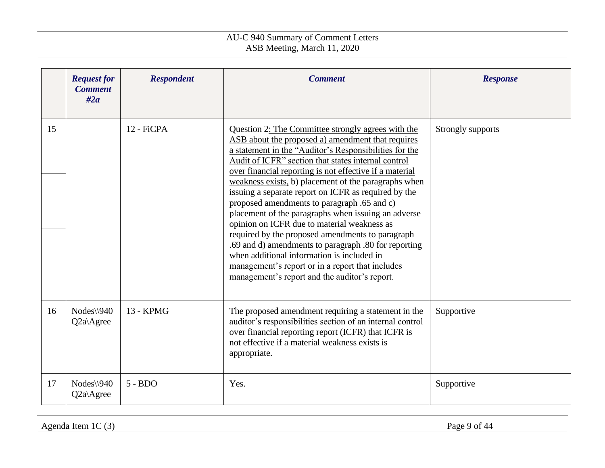|    | <b>Request for</b><br><b>Comment</b><br>#2a | <b>Respondent</b> | <b>Comment</b>                                                                                                                                                                                                                                                                                                                                                                                                                                                                                                                                                                                                                                                                                                                                                                                                          | <b>Response</b>   |
|----|---------------------------------------------|-------------------|-------------------------------------------------------------------------------------------------------------------------------------------------------------------------------------------------------------------------------------------------------------------------------------------------------------------------------------------------------------------------------------------------------------------------------------------------------------------------------------------------------------------------------------------------------------------------------------------------------------------------------------------------------------------------------------------------------------------------------------------------------------------------------------------------------------------------|-------------------|
| 15 |                                             | 12 - FiCPA        | Question 2: The Committee strongly agrees with the<br>ASB about the proposed a) amendment that requires<br>a statement in the "Auditor's Responsibilities for the<br>Audit of ICFR" section that states internal control<br>over financial reporting is not effective if a material<br>weakness exists, b) placement of the paragraphs when<br>issuing a separate report on ICFR as required by the<br>proposed amendments to paragraph .65 and c)<br>placement of the paragraphs when issuing an adverse<br>opinion on ICFR due to material weakness as<br>required by the proposed amendments to paragraph<br>.69 and d) amendments to paragraph .80 for reporting<br>when additional information is included in<br>management's report or in a report that includes<br>management's report and the auditor's report. | Strongly supports |
| 16 | $Nodes \$ 940<br>$Q2a$ Agree                | 13 - KPMG         | The proposed amendment requiring a statement in the<br>auditor's responsibilities section of an internal control<br>over financial reporting report (ICFR) that ICFR is<br>not effective if a material weakness exists is<br>appropriate.                                                                                                                                                                                                                                                                                                                                                                                                                                                                                                                                                                               | Supportive        |
| 17 | $Nodes \$ 940<br>$Q2a\angle$ Agree          | $5 - BDO$         | Yes.                                                                                                                                                                                                                                                                                                                                                                                                                                                                                                                                                                                                                                                                                                                                                                                                                    | Supportive        |

Agenda Item 1C (3) Page 9 of 44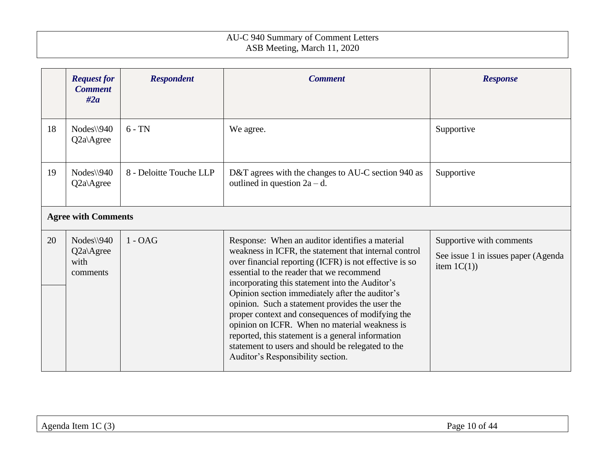|    | <b>Request for</b><br><b>Comment</b><br>#2a      | <b>Respondent</b>       | <b>Comment</b>                                                                                                                                                                                                                                                                                                                                                                                                                                                                                                                                                                                                               | <b>Response</b>                                                                    |
|----|--------------------------------------------------|-------------------------|------------------------------------------------------------------------------------------------------------------------------------------------------------------------------------------------------------------------------------------------------------------------------------------------------------------------------------------------------------------------------------------------------------------------------------------------------------------------------------------------------------------------------------------------------------------------------------------------------------------------------|------------------------------------------------------------------------------------|
| 18 | $Nodes \$ 940<br>Q2a\Agree                       | $6 - TN$                | We agree.                                                                                                                                                                                                                                                                                                                                                                                                                                                                                                                                                                                                                    | Supportive                                                                         |
| 19 | $Nodes \$ 940<br>$Q2a\angle$ Agree               | 8 - Deloitte Touche LLP | D&T agrees with the changes to AU-C section 940 as<br>outlined in question $2a - d$ .                                                                                                                                                                                                                                                                                                                                                                                                                                                                                                                                        | Supportive                                                                         |
|    | <b>Agree with Comments</b>                       |                         |                                                                                                                                                                                                                                                                                                                                                                                                                                                                                                                                                                                                                              |                                                                                    |
| 20 | $Nodes \$ 940<br>$Q2a$ Agree<br>with<br>comments | $1 - OAG$               | Response: When an auditor identifies a material<br>weakness in ICFR, the statement that internal control<br>over financial reporting (ICFR) is not effective is so<br>essential to the reader that we recommend<br>incorporating this statement into the Auditor's<br>Opinion section immediately after the auditor's<br>opinion. Such a statement provides the user the<br>proper context and consequences of modifying the<br>opinion on ICFR. When no material weakness is<br>reported, this statement is a general information<br>statement to users and should be relegated to the<br>Auditor's Responsibility section. | Supportive with comments<br>See issue 1 in issues paper (Agenda)<br>item $1C(1)$ ) |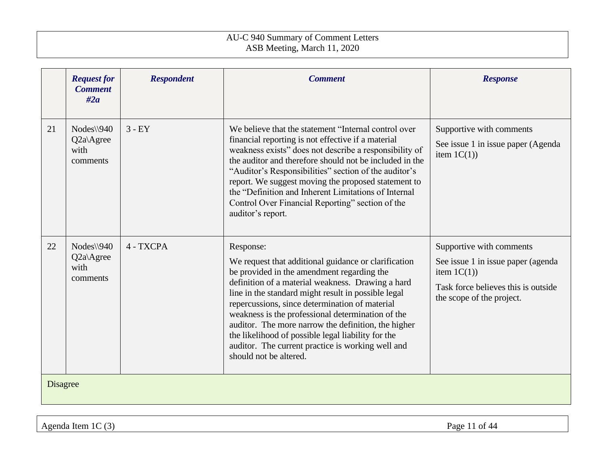|                 | <b>Request for</b><br><b>Comment</b><br>#2a            | <b>Respondent</b> | <b>Comment</b>                                                                                                                                                                                                                                                                                                                                                                                                                                                                                                                 | <b>Response</b>                                                                                                                                      |
|-----------------|--------------------------------------------------------|-------------------|--------------------------------------------------------------------------------------------------------------------------------------------------------------------------------------------------------------------------------------------------------------------------------------------------------------------------------------------------------------------------------------------------------------------------------------------------------------------------------------------------------------------------------|------------------------------------------------------------------------------------------------------------------------------------------------------|
| 21              | $Nodes \$ 940<br>$Q2a\angle$ Agree<br>with<br>comments | $3 - EY$          | We believe that the statement "Internal control over<br>financial reporting is not effective if a material<br>weakness exists" does not describe a responsibility of<br>the auditor and therefore should not be included in the<br>"Auditor's Responsibilities" section of the auditor's<br>report. We suggest moving the proposed statement to<br>the "Definition and Inherent Limitations of Internal<br>Control Over Financial Reporting" section of the<br>auditor's report.                                               | Supportive with comments<br>See issue 1 in issue paper (Agenda<br>item $1C(1)$ )                                                                     |
| 22              | $Nodes \$ 940<br>Q2a\Agree<br>with<br>comments         | 4 - TXCPA         | Response:<br>We request that additional guidance or clarification<br>be provided in the amendment regarding the<br>definition of a material weakness. Drawing a hard<br>line in the standard might result in possible legal<br>repercussions, since determination of material<br>weakness is the professional determination of the<br>auditor. The more narrow the definition, the higher<br>the likelihood of possible legal liability for the<br>auditor. The current practice is working well and<br>should not be altered. | Supportive with comments<br>See issue 1 in issue paper (agenda<br>item $1C(1)$ )<br>Task force believes this is outside<br>the scope of the project. |
| <b>Disagree</b> |                                                        |                   |                                                                                                                                                                                                                                                                                                                                                                                                                                                                                                                                |                                                                                                                                                      |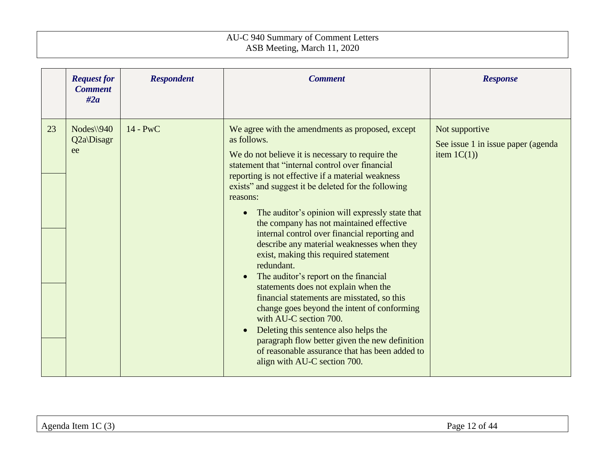|    | <b>Request for</b><br><b>Comment</b><br>#2a | <b>Respondent</b> | <b>Comment</b>                                                                                                                                                                                                                                                                                                                                                                                                                                                                                                                                                                                                                                                                                                                                                                                                                                                                                                                                         | <b>Response</b>                                                       |
|----|---------------------------------------------|-------------------|--------------------------------------------------------------------------------------------------------------------------------------------------------------------------------------------------------------------------------------------------------------------------------------------------------------------------------------------------------------------------------------------------------------------------------------------------------------------------------------------------------------------------------------------------------------------------------------------------------------------------------------------------------------------------------------------------------------------------------------------------------------------------------------------------------------------------------------------------------------------------------------------------------------------------------------------------------|-----------------------------------------------------------------------|
| 23 | $Nodes \$ 940<br>Q2a\Disagr<br>ee           | 14 - PwC          | We agree with the amendments as proposed, except<br>as follows.<br>We do not believe it is necessary to require the<br>statement that "internal control over financial<br>reporting is not effective if a material weakness<br>exists" and suggest it be deleted for the following<br>reasons:<br>The auditor's opinion will expressly state that<br>the company has not maintained effective<br>internal control over financial reporting and<br>describe any material weaknesses when they<br>exist, making this required statement<br>redundant.<br>The auditor's report on the financial<br>statements does not explain when the<br>financial statements are misstated, so this<br>change goes beyond the intent of conforming<br>with AU-C section 700.<br>Deleting this sentence also helps the<br>$\bullet$<br>paragraph flow better given the new definition<br>of reasonable assurance that has been added to<br>align with AU-C section 700. | Not supportive<br>See issue 1 in issue paper (agenda)<br>item $1C(1)$ |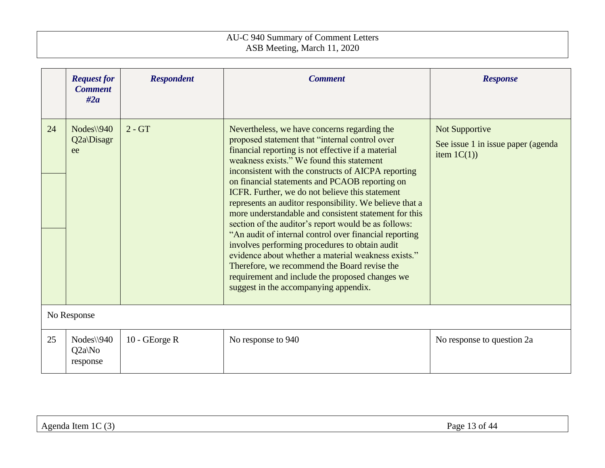|    | <b>Request for</b><br><b>Comment</b><br>#2a | <b>Respondent</b> | <b>Comment</b>                                                                                                                                                                                                                                                                                                                                                                                                                                                                                                                                                                                                                                                                                                                                                                                                                                           | <b>Response</b>                                                       |  |
|----|---------------------------------------------|-------------------|----------------------------------------------------------------------------------------------------------------------------------------------------------------------------------------------------------------------------------------------------------------------------------------------------------------------------------------------------------------------------------------------------------------------------------------------------------------------------------------------------------------------------------------------------------------------------------------------------------------------------------------------------------------------------------------------------------------------------------------------------------------------------------------------------------------------------------------------------------|-----------------------------------------------------------------------|--|
| 24 | $Nodes \setminus 940$<br>Q2a\Disagr<br>ee   | $2 - GT$          | Nevertheless, we have concerns regarding the<br>proposed statement that "internal control over<br>financial reporting is not effective if a material<br>weakness exists." We found this statement<br>inconsistent with the constructs of AICPA reporting<br>on financial statements and PCAOB reporting on<br>ICFR. Further, we do not believe this statement<br>represents an auditor responsibility. We believe that a<br>more understandable and consistent statement for this<br>section of the auditor's report would be as follows:<br>"An audit of internal control over financial reporting<br>involves performing procedures to obtain audit<br>evidence about whether a material weakness exists."<br>Therefore, we recommend the Board revise the<br>requirement and include the proposed changes we<br>suggest in the accompanying appendix. | Not Supportive<br>See issue 1 in issue paper (agenda)<br>item $1C(1)$ |  |
|    | No Response                                 |                   |                                                                                                                                                                                                                                                                                                                                                                                                                                                                                                                                                                                                                                                                                                                                                                                                                                                          |                                                                       |  |
| 25 | $Nodes \$ 940<br>$Q2a\N$ o<br>response      | 10 - GEorge R     | No response to 940                                                                                                                                                                                                                                                                                                                                                                                                                                                                                                                                                                                                                                                                                                                                                                                                                                       | No response to question 2a                                            |  |

| $\sim$ | $\sim$           |
|--------|------------------|
| $\sim$ | $P_{\text{age}}$ |
| .      | $\sim$ $\sim$    |
| Item   | $\sqrt{2}$       |
| Agenda | --               |
| $\sim$ |                  |
| . J    |                  |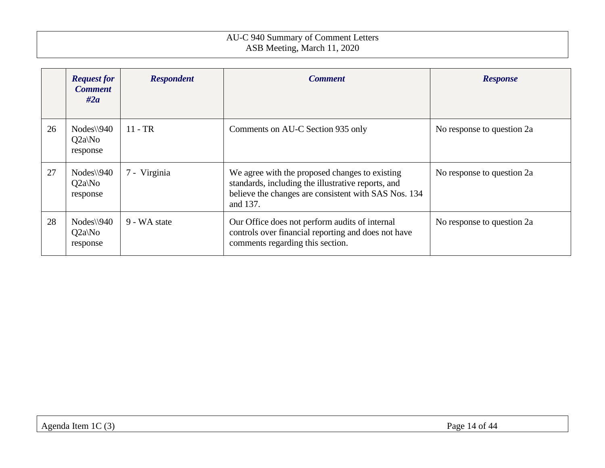|    | <b>Request for</b><br><b>Comment</b><br>#2a    | <b>Respondent</b> | <b>Comment</b>                                                                                                                                                           | <b>Response</b>            |
|----|------------------------------------------------|-------------------|--------------------------------------------------------------------------------------------------------------------------------------------------------------------------|----------------------------|
| 26 | $Nodes \setminus 940$<br>$Q2a\N$ o<br>response | $11 - TR$         | Comments on AU-C Section 935 only                                                                                                                                        | No response to question 2a |
| 27 | $Nodes \setminus 940$<br>$Q2a\No$<br>response  | 7 - Virginia      | We agree with the proposed changes to existing<br>standards, including the illustrative reports, and<br>believe the changes are consistent with SAS Nos. 134<br>and 137. | No response to question 2a |
| 28 | $Nodes \$ 940<br>$Q2a\No$<br>response          | 9 - WA state      | Our Office does not perform audits of internal<br>controls over financial reporting and does not have<br>comments regarding this section.                                | No response to question 2a |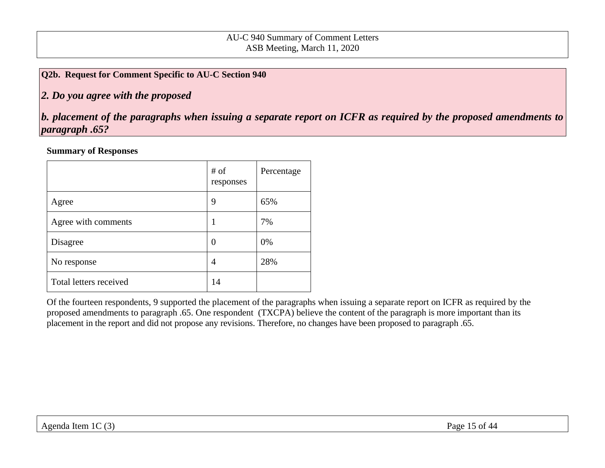#### <span id="page-14-0"></span>**Q2b. Request for Comment Specific to AU-C Section 940**

# *2. Do you agree with the proposed*

*b. placement of the paragraphs when issuing a separate report on ICFR as required by the proposed amendments to paragraph .65?* 

#### **Summary of Responses**

|                        | # of<br>responses | Percentage |
|------------------------|-------------------|------------|
| Agree                  | 9                 | 65%        |
| Agree with comments    |                   | 7%         |
| Disagree               | O                 | 0%         |
| No response            | 4                 | 28%        |
| Total letters received | 14                |            |

Of the fourteen respondents, 9 supported the placement of the paragraphs when issuing a separate report on ICFR as required by the proposed amendments to paragraph .65. One respondent (TXCPA) believe the content of the paragraph is more important than its placement in the report and did not propose any revisions. Therefore, no changes have been proposed to paragraph .65.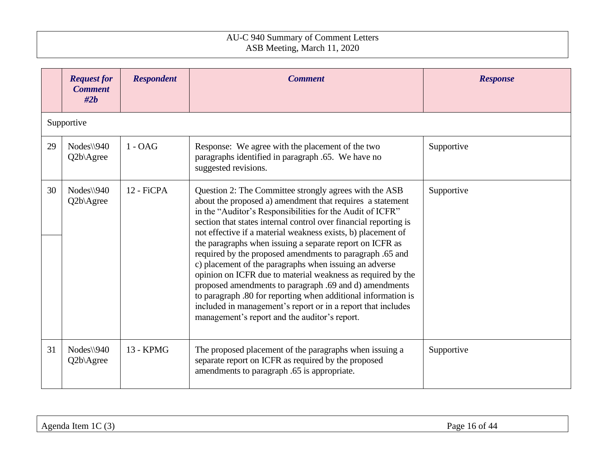|    | <b>Request for</b><br><b>Comment</b><br>#2h | <b>Respondent</b> | <b>Comment</b>                                                                                                                                                                                                                                                                                                                                                                                                                                                                                                                                                                                                                                                                                                                                                                                                    | <b>Response</b> |
|----|---------------------------------------------|-------------------|-------------------------------------------------------------------------------------------------------------------------------------------------------------------------------------------------------------------------------------------------------------------------------------------------------------------------------------------------------------------------------------------------------------------------------------------------------------------------------------------------------------------------------------------------------------------------------------------------------------------------------------------------------------------------------------------------------------------------------------------------------------------------------------------------------------------|-----------------|
|    | Supportive                                  |                   |                                                                                                                                                                                                                                                                                                                                                                                                                                                                                                                                                                                                                                                                                                                                                                                                                   |                 |
| 29 | $Nodes \$ 940<br>Q2b\Agree                  | $1 - OAG$         | Response: We agree with the placement of the two<br>paragraphs identified in paragraph .65. We have no<br>suggested revisions.                                                                                                                                                                                                                                                                                                                                                                                                                                                                                                                                                                                                                                                                                    | Supportive      |
| 30 | $Nodes \$ 940<br>Q2b\Agree                  | 12 - FiCPA        | Question 2: The Committee strongly agrees with the ASB<br>about the proposed a) amendment that requires a statement<br>in the "Auditor's Responsibilities for the Audit of ICFR"<br>section that states internal control over financial reporting is<br>not effective if a material weakness exists, b) placement of<br>the paragraphs when issuing a separate report on ICFR as<br>required by the proposed amendments to paragraph .65 and<br>c) placement of the paragraphs when issuing an adverse<br>opinion on ICFR due to material weakness as required by the<br>proposed amendments to paragraph .69 and d) amendments<br>to paragraph .80 for reporting when additional information is<br>included in management's report or in a report that includes<br>management's report and the auditor's report. | Supportive      |
| 31 | Nodes\\940<br>Q2b\Agree                     | 13 - KPMG         | The proposed placement of the paragraphs when issuing a<br>separate report on ICFR as required by the proposed<br>amendments to paragraph .65 is appropriate.                                                                                                                                                                                                                                                                                                                                                                                                                                                                                                                                                                                                                                                     | Supportive      |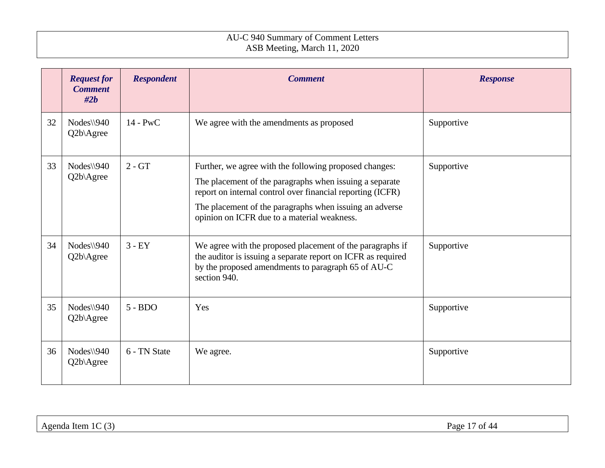|    | <b>Request for</b><br><b>Comment</b><br>#2b | <b>Respondent</b> | <b>Comment</b>                                                                                                                                                                                                                                                                            | <b>Response</b> |
|----|---------------------------------------------|-------------------|-------------------------------------------------------------------------------------------------------------------------------------------------------------------------------------------------------------------------------------------------------------------------------------------|-----------------|
| 32 | $Nodes \$ 940<br>Q2b\Agree                  | $14 - PWC$        | We agree with the amendments as proposed                                                                                                                                                                                                                                                  | Supportive      |
| 33 | $Nodes \$ 940<br>Q2b\Agree                  | $2 - GT$          | Further, we agree with the following proposed changes:<br>The placement of the paragraphs when issuing a separate<br>report on internal control over financial reporting (ICFR)<br>The placement of the paragraphs when issuing an adverse<br>opinion on ICFR due to a material weakness. | Supportive      |
| 34 | $Nodes \$ 940<br>Q2b\Agree                  | $3 - EY$          | We agree with the proposed placement of the paragraphs if<br>the auditor is issuing a separate report on ICFR as required<br>by the proposed amendments to paragraph 65 of AU-C<br>section 940.                                                                                           | Supportive      |
| 35 | $Nodes \$ 940<br>Q2b\Agree                  | $5 - BDO$         | Yes                                                                                                                                                                                                                                                                                       | Supportive      |
| 36 | $Nodes \$ 940<br>Q2b\Agree                  | 6 - TN State      | We agree.                                                                                                                                                                                                                                                                                 | Supportive      |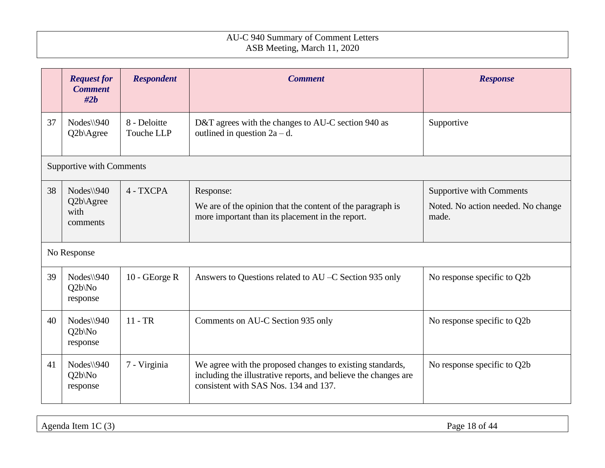|    | <b>Request for</b><br><b>Comment</b><br>#2b     | <b>Respondent</b>          | <b>Comment</b>                                                                                                                                                        | <b>Response</b>                                                                |
|----|-------------------------------------------------|----------------------------|-----------------------------------------------------------------------------------------------------------------------------------------------------------------------|--------------------------------------------------------------------------------|
| 37 | $Nodes \$ 940<br>Q2b\Agree                      | 8 - Deloitte<br>Touche LLP | D&T agrees with the changes to AU-C section 940 as<br>outlined in question $2a - d$ .                                                                                 | Supportive                                                                     |
|    | <b>Supportive with Comments</b>                 |                            |                                                                                                                                                                       |                                                                                |
| 38 | $Nodes \$ 940<br>Q2b\Agree<br>with<br>comments  | 4 - TXCPA                  | Response:<br>We are of the opinion that the content of the paragraph is<br>more important than its placement in the report.                                           | <b>Supportive with Comments</b><br>Noted. No action needed. No change<br>made. |
|    | No Response                                     |                            |                                                                                                                                                                       |                                                                                |
| 39 | $Nodes \$ 940<br>$Q2b\backslash No$<br>response | $10 - GEorge R$            | Answers to Questions related to AU –C Section 935 only                                                                                                                | No response specific to Q2b                                                    |
| 40 | $Nodes \$ 940<br>$Q2b\backslash No$<br>response | $11 - TR$                  | Comments on AU-C Section 935 only                                                                                                                                     | No response specific to Q2b                                                    |
| 41 | $Nodes \$ 940<br>$Q2b\backslash No$<br>response | 7 - Virginia               | We agree with the proposed changes to existing standards,<br>including the illustrative reports, and believe the changes are<br>consistent with SAS Nos. 134 and 137. | No response specific to Q2b                                                    |

Agenda Item 1C (3) Page 18 of 44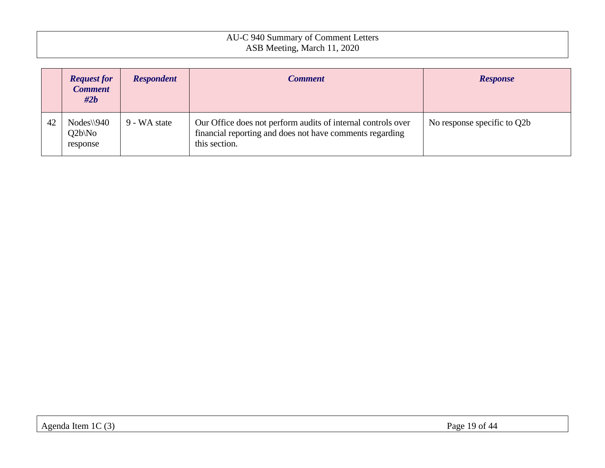|    | <b>Request for</b><br><b>Comment</b><br>$\#2b$  | <b>Respondent</b> | <b>Comment</b>                                                                                                                            | <b>Response</b>             |
|----|-------------------------------------------------|-------------------|-------------------------------------------------------------------------------------------------------------------------------------------|-----------------------------|
| 42 | $Nodes \$ 940<br>$Q2b\backslash No$<br>response | 9 - WA state      | Our Office does not perform audits of internal controls over<br>financial reporting and does not have comments regarding<br>this section. | No response specific to Q2b |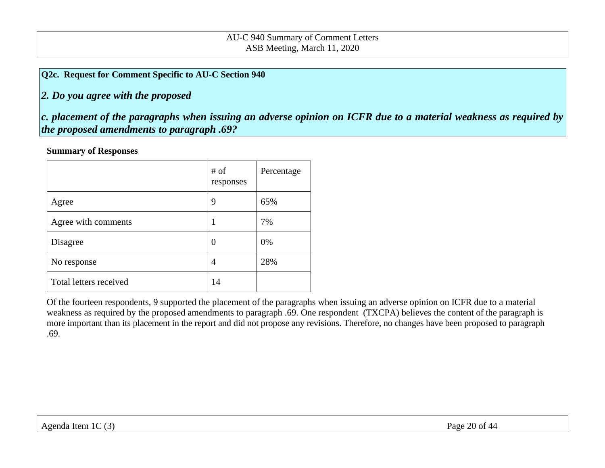### <span id="page-19-0"></span>**Q2c. Request for Comment Specific to AU-C Section 940**

# *2. Do you agree with the proposed*

*c. placement of the paragraphs when issuing an adverse opinion on ICFR due to a material weakness as required by the proposed amendments to paragraph .69?* 

#### **Summary of Responses**

|                        | # of<br>responses | Percentage |
|------------------------|-------------------|------------|
| Agree                  | 9                 | 65%        |
| Agree with comments    | 1                 | 7%         |
| Disagree               | 0                 | 0%         |
| No response            | 4                 | 28%        |
| Total letters received | 14                |            |

Of the fourteen respondents, 9 supported the placement of the paragraphs when issuing an adverse opinion on ICFR due to a material weakness as required by the proposed amendments to paragraph .69. One respondent (TXCPA) believes the content of the paragraph is more important than its placement in the report and did not propose any revisions. Therefore, no changes have been proposed to paragraph .69.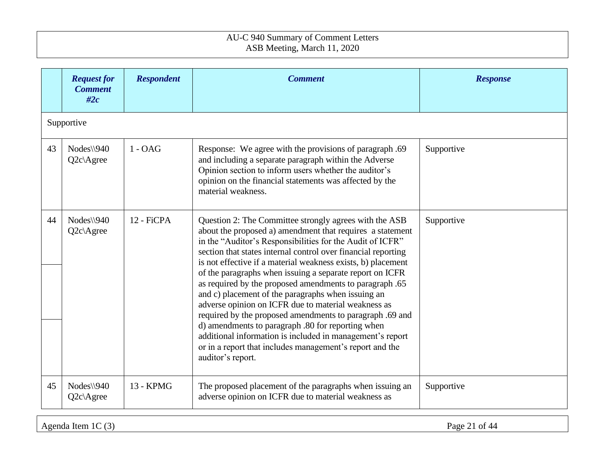|    | <b>Request for</b><br><b>Comment</b><br>#2c | <b>Respondent</b> | <b>Comment</b>                                                                                                                                                                                                                                                                                                                                                                                                                                                                                                                                                                                                                                                                                                                                                                                                       | <b>Response</b> |
|----|---------------------------------------------|-------------------|----------------------------------------------------------------------------------------------------------------------------------------------------------------------------------------------------------------------------------------------------------------------------------------------------------------------------------------------------------------------------------------------------------------------------------------------------------------------------------------------------------------------------------------------------------------------------------------------------------------------------------------------------------------------------------------------------------------------------------------------------------------------------------------------------------------------|-----------------|
|    | Supportive                                  |                   |                                                                                                                                                                                                                                                                                                                                                                                                                                                                                                                                                                                                                                                                                                                                                                                                                      |                 |
| 43 | $Nodes \$ 940<br>$Q2c$ Agree                | $1 - OAG$         | Response: We agree with the provisions of paragraph .69<br>and including a separate paragraph within the Adverse<br>Opinion section to inform users whether the auditor's<br>opinion on the financial statements was affected by the<br>material weakness.                                                                                                                                                                                                                                                                                                                                                                                                                                                                                                                                                           | Supportive      |
| 44 | $Nodes \$ 940<br>$Q2c$ Agree                | 12 - FiCPA        | Question 2: The Committee strongly agrees with the ASB<br>about the proposed a) amendment that requires a statement<br>in the "Auditor's Responsibilities for the Audit of ICFR"<br>section that states internal control over financial reporting<br>is not effective if a material weakness exists, b) placement<br>of the paragraphs when issuing a separate report on ICFR<br>as required by the proposed amendments to paragraph .65<br>and c) placement of the paragraphs when issuing an<br>adverse opinion on ICFR due to material weakness as<br>required by the proposed amendments to paragraph .69 and<br>d) amendments to paragraph .80 for reporting when<br>additional information is included in management's report<br>or in a report that includes management's report and the<br>auditor's report. | Supportive      |
| 45 | $Nodes \$ 940<br>$Q2c$ Agree                | 13 - KPMG         | The proposed placement of the paragraphs when issuing an<br>adverse opinion on ICFR due to material weakness as                                                                                                                                                                                                                                                                                                                                                                                                                                                                                                                                                                                                                                                                                                      | Supportive      |

Agenda Item 1C (3) Page 21 of 44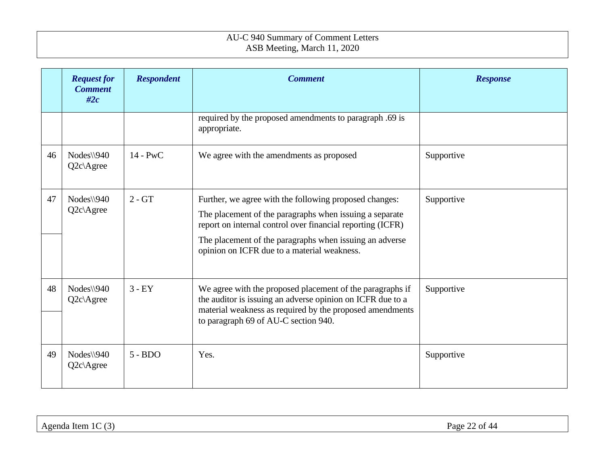|    | <b>Request for</b><br><b>Comment</b><br>#2c | <b>Respondent</b> | <b>Comment</b>                                                                                                                                                                                                                                                                            | <b>Response</b> |
|----|---------------------------------------------|-------------------|-------------------------------------------------------------------------------------------------------------------------------------------------------------------------------------------------------------------------------------------------------------------------------------------|-----------------|
|    |                                             |                   | required by the proposed amendments to paragraph .69 is<br>appropriate.                                                                                                                                                                                                                   |                 |
| 46 | $Nodes \$ 940<br>$Q2c$ Agree                | $14 - PWC$        | We agree with the amendments as proposed                                                                                                                                                                                                                                                  | Supportive      |
| 47 | $Nodes \$ 940<br>$Q2c$ Agree                | $2 - GT$          | Further, we agree with the following proposed changes:<br>The placement of the paragraphs when issuing a separate<br>report on internal control over financial reporting (ICFR)<br>The placement of the paragraphs when issuing an adverse<br>opinion on ICFR due to a material weakness. | Supportive      |
| 48 | $Nodes \$ 940<br>Q2c\Agree                  | $3 - EY$          | We agree with the proposed placement of the paragraphs if<br>the auditor is issuing an adverse opinion on ICFR due to a<br>material weakness as required by the proposed amendments<br>to paragraph 69 of AU-C section 940.                                                               | Supportive      |
| 49 | $Nodes \$ 940<br>$Q2c$ Agree                | $5 - BDO$         | Yes.                                                                                                                                                                                                                                                                                      | Supportive      |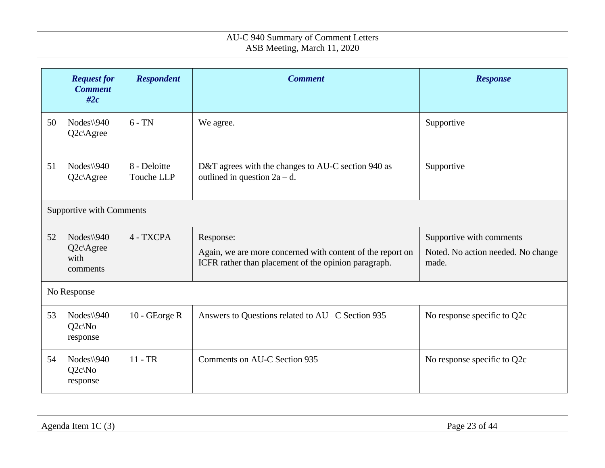|    | <b>Request for</b><br><b>Comment</b><br>#2c      | <b>Respondent</b>          | <b>Comment</b>                                                                                                                  | <b>Response</b>                                                         |
|----|--------------------------------------------------|----------------------------|---------------------------------------------------------------------------------------------------------------------------------|-------------------------------------------------------------------------|
| 50 | $Nodes \$ 940<br>Q2c\Agree                       | $6 - TN$                   | We agree.                                                                                                                       | Supportive                                                              |
| 51 | $Nodes \$ 940<br>$Q2c$ Agree                     | 8 - Deloitte<br>Touche LLP | D&T agrees with the changes to AU-C section 940 as<br>outlined in question $2a - d$ .                                           | Supportive                                                              |
|    | <b>Supportive with Comments</b>                  |                            |                                                                                                                                 |                                                                         |
| 52 | $Nodes \$ 940<br>$Q2c$ Agree<br>with<br>comments | 4 - TXCPA                  | Response:<br>Again, we are more concerned with content of the report on<br>ICFR rather than placement of the opinion paragraph. | Supportive with comments<br>Noted. No action needed. No change<br>made. |
|    | No Response                                      |                            |                                                                                                                                 |                                                                         |
| 53 | $Nodes \$ 940<br>$Q2c\backslash No$<br>response  | 10 - GEorge R              | Answers to Questions related to AU –C Section 935                                                                               | No response specific to Q2c                                             |
| 54 | $Nodes \$ 940<br>$Q2c\backslash No$<br>response  | $11 - TR$                  | Comments on AU-C Section 935                                                                                                    | No response specific to Q2c                                             |

Agenda Item 1C (3) Page 23 of 44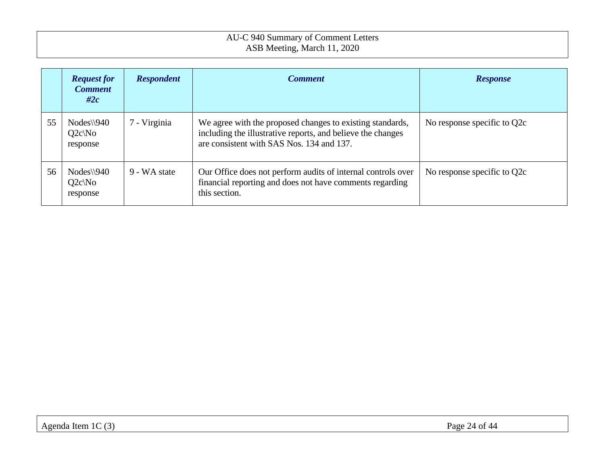|    | <b>Request for</b><br><b>Comment</b><br>#2 $c$ | <b>Respondent</b> | <b>Comment</b>                                                                                                                                                        | <b>Response</b>             |
|----|------------------------------------------------|-------------------|-----------------------------------------------------------------------------------------------------------------------------------------------------------------------|-----------------------------|
| 55 | $Nodes \$ 940<br>$Q2c\N$ o<br>response         | 7 - Virginia      | We agree with the proposed changes to existing standards,<br>including the illustrative reports, and believe the changes<br>are consistent with SAS Nos. 134 and 137. | No response specific to Q2c |
| 56 | $Nodes \setminus 940$<br>$Q2c\N$ o<br>response | 9 - WA state      | Our Office does not perform audits of internal controls over<br>financial reporting and does not have comments regarding<br>this section.                             | No response specific to Q2c |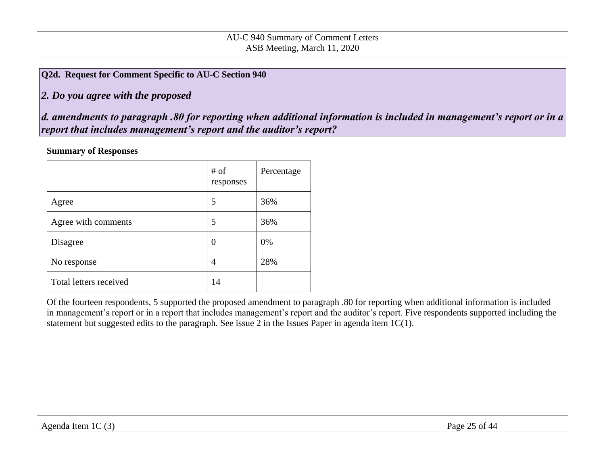<span id="page-24-0"></span>**Q2d. Request for Comment Specific to AU-C Section 940**

*2. Do you agree with the proposed* 

*d. amendments to paragraph .80 for reporting when additional information is included in management's report or in a report that includes management's report and the auditor's report?* 

#### **Summary of Responses**

|                        | # of<br>responses | Percentage |
|------------------------|-------------------|------------|
| Agree                  | 5                 | 36%        |
| Agree with comments    | 5                 | 36%        |
| Disagree               | $\left( \right)$  | 0%         |
| No response            | 4                 | 28%        |
| Total letters received | 14                |            |

Of the fourteen respondents, 5 supported the proposed amendment to paragraph .80 for reporting when additional information is included in management's report or in a report that includes management's report and the auditor's report. Five respondents supported including the statement but suggested edits to the paragraph. See issue 2 in the Issues Paper in agenda item 1C(1).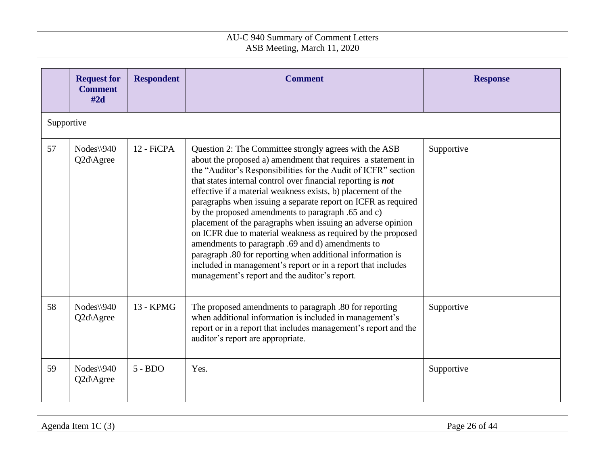|            | <b>Request for</b><br><b>Comment</b><br>#2d | <b>Respondent</b> | <b>Comment</b>                                                                                                                                                                                                                                                                                                                                                                                                                                                                                                                                                                                                                                                                                                                                                                                                    | <b>Response</b> |
|------------|---------------------------------------------|-------------------|-------------------------------------------------------------------------------------------------------------------------------------------------------------------------------------------------------------------------------------------------------------------------------------------------------------------------------------------------------------------------------------------------------------------------------------------------------------------------------------------------------------------------------------------------------------------------------------------------------------------------------------------------------------------------------------------------------------------------------------------------------------------------------------------------------------------|-----------------|
| Supportive |                                             |                   |                                                                                                                                                                                                                                                                                                                                                                                                                                                                                                                                                                                                                                                                                                                                                                                                                   |                 |
| 57         | $Nodes \$ 940<br>Q2d\Agree                  | 12 - FiCPA        | Question 2: The Committee strongly agrees with the ASB<br>about the proposed a) amendment that requires a statement in<br>the "Auditor's Responsibilities for the Audit of ICFR" section<br>that states internal control over financial reporting is not<br>effective if a material weakness exists, b) placement of the<br>paragraphs when issuing a separate report on ICFR as required<br>by the proposed amendments to paragraph .65 and c)<br>placement of the paragraphs when issuing an adverse opinion<br>on ICFR due to material weakness as required by the proposed<br>amendments to paragraph .69 and d) amendments to<br>paragraph .80 for reporting when additional information is<br>included in management's report or in a report that includes<br>management's report and the auditor's report. | Supportive      |
| 58         | Nodes\\940<br>Q2d\Agree                     | 13 - KPMG         | The proposed amendments to paragraph .80 for reporting<br>when additional information is included in management's<br>report or in a report that includes management's report and the<br>auditor's report are appropriate.                                                                                                                                                                                                                                                                                                                                                                                                                                                                                                                                                                                         | Supportive      |
| 59         | $Nodes \$ 940<br>Q2d\Agree                  | $5 - BDO$         | Yes.                                                                                                                                                                                                                                                                                                                                                                                                                                                                                                                                                                                                                                                                                                                                                                                                              | Supportive      |

Agenda Item 1C (3) Page 26 of 44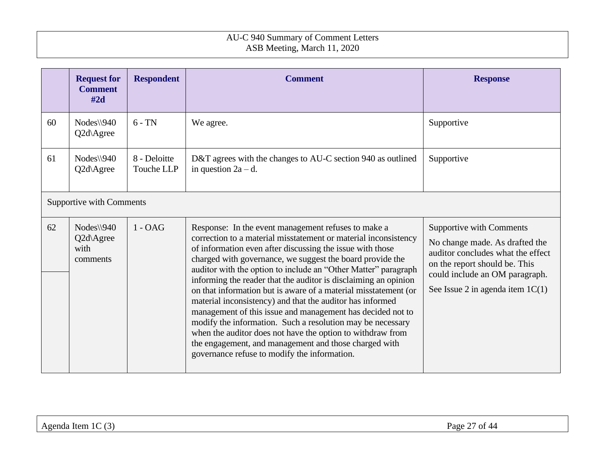|    | <b>Request for</b><br><b>Comment</b><br>#2d    | <b>Respondent</b>                 | <b>Comment</b>                                                                                                                                                                                                                                                                                                                                                                                                                                                                                                                                                                                                                                                                                                                                                                                                           | <b>Response</b>                                                                                                                                                                                                 |
|----|------------------------------------------------|-----------------------------------|--------------------------------------------------------------------------------------------------------------------------------------------------------------------------------------------------------------------------------------------------------------------------------------------------------------------------------------------------------------------------------------------------------------------------------------------------------------------------------------------------------------------------------------------------------------------------------------------------------------------------------------------------------------------------------------------------------------------------------------------------------------------------------------------------------------------------|-----------------------------------------------------------------------------------------------------------------------------------------------------------------------------------------------------------------|
| 60 | $Nodes \$ 940<br>Q2d\Agree                     | $6 - TN$                          | We agree.                                                                                                                                                                                                                                                                                                                                                                                                                                                                                                                                                                                                                                                                                                                                                                                                                | Supportive                                                                                                                                                                                                      |
| 61 | Nodes\\940<br>Q2d\Agree                        | 8 - Deloitte<br><b>Touche LLP</b> | D&T agrees with the changes to AU-C section 940 as outlined<br>in question $2a - d$ .                                                                                                                                                                                                                                                                                                                                                                                                                                                                                                                                                                                                                                                                                                                                    | Supportive                                                                                                                                                                                                      |
|    | Supportive with Comments                       |                                   |                                                                                                                                                                                                                                                                                                                                                                                                                                                                                                                                                                                                                                                                                                                                                                                                                          |                                                                                                                                                                                                                 |
| 62 | $Nodes \$ 940<br>Q2d\Agree<br>with<br>comments | $1 - OAG$                         | Response: In the event management refuses to make a<br>correction to a material misstatement or material inconsistency<br>of information even after discussing the issue with those<br>charged with governance, we suggest the board provide the<br>auditor with the option to include an "Other Matter" paragraph<br>informing the reader that the auditor is disclaiming an opinion<br>on that information but is aware of a material misstatement (or<br>material inconsistency) and that the auditor has informed<br>management of this issue and management has decided not to<br>modify the information. Such a resolution may be necessary<br>when the auditor does not have the option to withdraw from<br>the engagement, and management and those charged with<br>governance refuse to modify the information. | <b>Supportive with Comments</b><br>No change made. As drafted the<br>auditor concludes what the effect<br>on the report should be. This<br>could include an OM paragraph.<br>See Issue 2 in agenda item $1C(1)$ |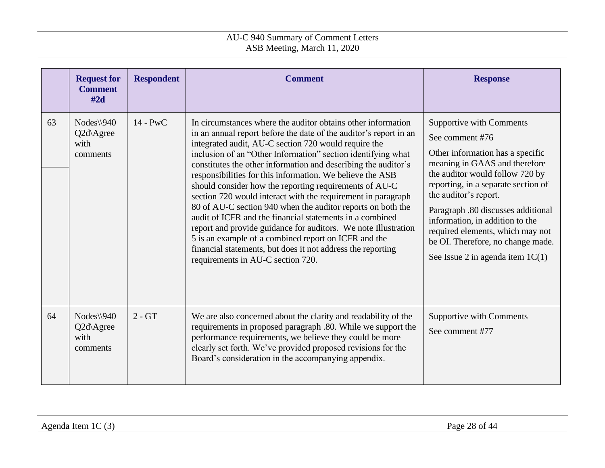|    | <b>Request for</b><br><b>Comment</b><br>#2d    | <b>Respondent</b> | <b>Comment</b>                                                                                                                                                                                                                                                                                                                                                                                                                                                                                                                                                                                                                                                                                                                                                                                                                                                              | <b>Response</b>                                                                                                                                                                                                                                                                                                                                                                                                    |
|----|------------------------------------------------|-------------------|-----------------------------------------------------------------------------------------------------------------------------------------------------------------------------------------------------------------------------------------------------------------------------------------------------------------------------------------------------------------------------------------------------------------------------------------------------------------------------------------------------------------------------------------------------------------------------------------------------------------------------------------------------------------------------------------------------------------------------------------------------------------------------------------------------------------------------------------------------------------------------|--------------------------------------------------------------------------------------------------------------------------------------------------------------------------------------------------------------------------------------------------------------------------------------------------------------------------------------------------------------------------------------------------------------------|
| 63 | $Nodes \$ 940<br>Q2d\Agree<br>with<br>comments | $14 - PWC$        | In circumstances where the auditor obtains other information<br>in an annual report before the date of the auditor's report in an<br>integrated audit, AU-C section 720 would require the<br>inclusion of an "Other Information" section identifying what<br>constitutes the other information and describing the auditor's<br>responsibilities for this information. We believe the ASB<br>should consider how the reporting requirements of AU-C<br>section 720 would interact with the requirement in paragraph<br>80 of AU-C section 940 when the auditor reports on both the<br>audit of ICFR and the financial statements in a combined<br>report and provide guidance for auditors. We note Illustration<br>5 is an example of a combined report on ICFR and the<br>financial statements, but does it not address the reporting<br>requirements in AU-C section 720. | <b>Supportive with Comments</b><br>See comment #76<br>Other information has a specific<br>meaning in GAAS and therefore<br>the auditor would follow 720 by<br>reporting, in a separate section of<br>the auditor's report.<br>Paragraph .80 discusses additional<br>information, in addition to the<br>required elements, which may not<br>be OI. Therefore, no change made.<br>See Issue 2 in agenda item $1C(1)$ |
| 64 | Nodes\\940<br>Q2d\Agree<br>with<br>comments    | $2 - GT$          | We are also concerned about the clarity and readability of the<br>requirements in proposed paragraph .80. While we support the<br>performance requirements, we believe they could be more<br>clearly set forth. We've provided proposed revisions for the<br>Board's consideration in the accompanying appendix.                                                                                                                                                                                                                                                                                                                                                                                                                                                                                                                                                            | <b>Supportive with Comments</b><br>See comment #77                                                                                                                                                                                                                                                                                                                                                                 |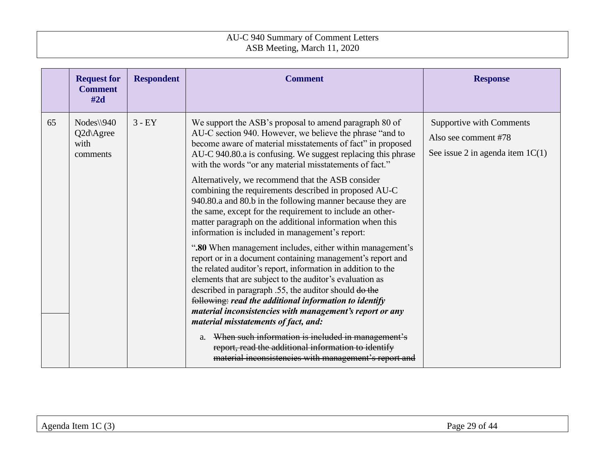|    | <b>Request for</b><br><b>Comment</b><br>#2d            | <b>Respondent</b> | <b>Comment</b>                                                                                                                                                                                                                                                                                                                                                                                                                                                                                                                                                                                                                                                                                                                                                                                                                                                                                                                                                                                                                                                                                                                                                                                                                                                                                                             | <b>Response</b>                                                                               |
|----|--------------------------------------------------------|-------------------|----------------------------------------------------------------------------------------------------------------------------------------------------------------------------------------------------------------------------------------------------------------------------------------------------------------------------------------------------------------------------------------------------------------------------------------------------------------------------------------------------------------------------------------------------------------------------------------------------------------------------------------------------------------------------------------------------------------------------------------------------------------------------------------------------------------------------------------------------------------------------------------------------------------------------------------------------------------------------------------------------------------------------------------------------------------------------------------------------------------------------------------------------------------------------------------------------------------------------------------------------------------------------------------------------------------------------|-----------------------------------------------------------------------------------------------|
| 65 | $Nodes \$ 940<br>$Q2d\angle$ Agree<br>with<br>comments | $3 - EY$          | We support the ASB's proposal to amend paragraph 80 of<br>AU-C section 940. However, we believe the phrase "and to<br>become aware of material misstatements of fact" in proposed<br>AU-C 940.80.a is confusing. We suggest replacing this phrase<br>with the words "or any material misstatements of fact."<br>Alternatively, we recommend that the ASB consider<br>combining the requirements described in proposed AU-C<br>940.80.a and 80.b in the following manner because they are<br>the same, except for the requirement to include an other-<br>matter paragraph on the additional information when this<br>information is included in management's report:<br>".80 When management includes, either within management's<br>report or in a document containing management's report and<br>the related auditor's report, information in addition to the<br>elements that are subject to the auditor's evaluation as<br>described in paragraph .55, the auditor should do the<br>following: read the additional information to identify<br>material inconsistencies with management's report or any<br>material misstatements of fact, and:<br>a. When such information is included in management's<br>report, read the additional information to identify<br>material inconsistencies with management's report and | <b>Supportive with Comments</b><br>Also see comment #78<br>See issue 2 in agenda item $1C(1)$ |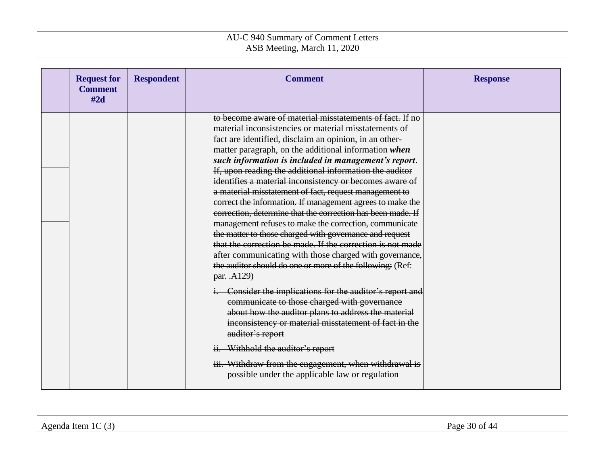| <b>Request for</b><br><b>Comment</b><br>#2d | <b>Respondent</b> | <b>Comment</b>                                                                                                                                                                                                                                                                                                                                                                                                                                                                                                                                                                                                                                                                                                                                                                                                                                                                                                                    | <b>Response</b> |
|---------------------------------------------|-------------------|-----------------------------------------------------------------------------------------------------------------------------------------------------------------------------------------------------------------------------------------------------------------------------------------------------------------------------------------------------------------------------------------------------------------------------------------------------------------------------------------------------------------------------------------------------------------------------------------------------------------------------------------------------------------------------------------------------------------------------------------------------------------------------------------------------------------------------------------------------------------------------------------------------------------------------------|-----------------|
|                                             |                   | to become aware of material misstatements of fact. If no<br>material inconsistencies or material misstatements of<br>fact are identified, disclaim an opinion, in an other-<br>matter paragraph, on the additional information when<br>such information is included in management's report.<br>If, upon reading the additional information the auditor<br>identifies a material inconsistency or becomes aware of<br>a material misstatement of fact, request management to<br>correct the information. If management agrees to make the<br>correction, determine that the correction has been made. If<br>management refuses to make the correction, communicate<br>the matter to those charged with governance and request<br>that the correction be made. If the correction is not made<br>after communicating with those charged with governance,<br>the auditor should do one or more of the following: (Ref:<br>par. .A129) |                 |
|                                             |                   | i. Consider the implications for the auditor's report and<br>communicate to those charged with governance<br>about how the auditor plans to address the material<br>inconsistency or material misstatement of fact in the<br>auditor's report<br>ii. Withhold the auditor's report<br>iii. Withdraw from the engagement, when withdrawal is<br>possible under the applicable law or regulation                                                                                                                                                                                                                                                                                                                                                                                                                                                                                                                                    |                 |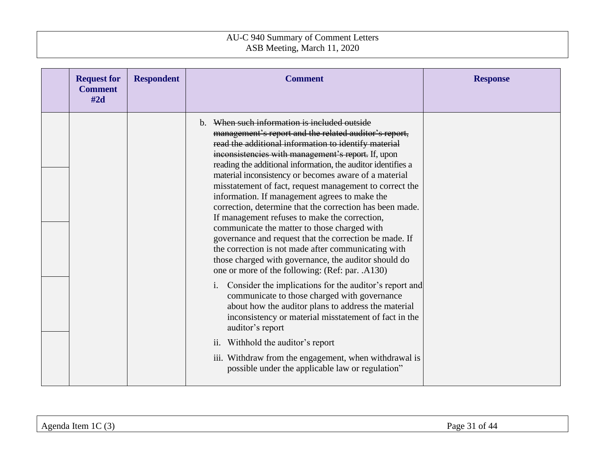| <b>Request for</b><br><b>Comment</b><br>#2d | <b>Respondent</b> | <b>Comment</b>                                                                                                                                                                                                                                                                                                                                                                                                                                                                                                                                                                                                                                                                                                                                                                                                                                    | <b>Response</b> |
|---------------------------------------------|-------------------|---------------------------------------------------------------------------------------------------------------------------------------------------------------------------------------------------------------------------------------------------------------------------------------------------------------------------------------------------------------------------------------------------------------------------------------------------------------------------------------------------------------------------------------------------------------------------------------------------------------------------------------------------------------------------------------------------------------------------------------------------------------------------------------------------------------------------------------------------|-----------------|
|                                             |                   | b. When such information is included outside<br>management's report and the related auditor's report,<br>read the additional information to identify material<br>inconsistencies with management's report. If, upon<br>reading the additional information, the auditor identifies a<br>material inconsistency or becomes aware of a material<br>misstatement of fact, request management to correct the<br>information. If management agrees to make the<br>correction, determine that the correction has been made.<br>If management refuses to make the correction,<br>communicate the matter to those charged with<br>governance and request that the correction be made. If<br>the correction is not made after communicating with<br>those charged with governance, the auditor should do<br>one or more of the following: (Ref: par. .A130) |                 |
|                                             |                   | Consider the implications for the auditor's report and<br>$\mathbf{i}$ .<br>communicate to those charged with governance<br>about how the auditor plans to address the material<br>inconsistency or material misstatement of fact in the<br>auditor's report<br>ii. Withhold the auditor's report<br>iii. Withdraw from the engagement, when withdrawal is<br>possible under the applicable law or regulation"                                                                                                                                                                                                                                                                                                                                                                                                                                    |                 |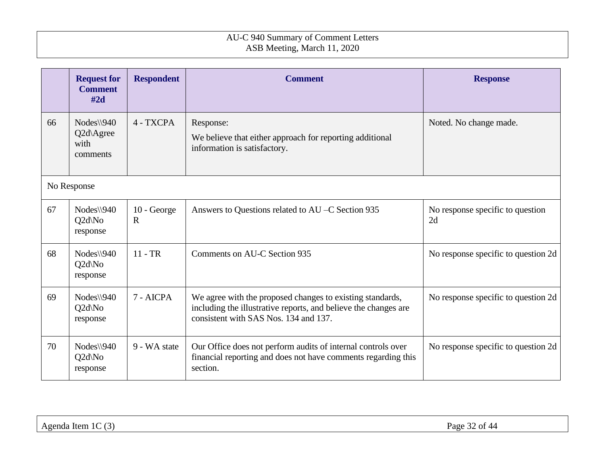|    | <b>Request for</b><br><b>Comment</b><br>#2d    | <b>Respondent</b>          | <b>Comment</b>                                                                                                                                                        | <b>Response</b>                        |
|----|------------------------------------------------|----------------------------|-----------------------------------------------------------------------------------------------------------------------------------------------------------------------|----------------------------------------|
| 66 | $Nodes \$ 940<br>Q2d\Agree<br>with<br>comments | 4 - TXCPA                  | Response:<br>We believe that either approach for reporting additional<br>information is satisfactory.                                                                 | Noted. No change made.                 |
|    | No Response                                    |                            |                                                                                                                                                                       |                                        |
| 67 | Nodes\\940<br>$Q2d\backslash No$<br>response   | 10 - George<br>$\mathbf R$ | Answers to Questions related to AU –C Section 935                                                                                                                     | No response specific to question<br>2d |
| 68 | $Nodes \$ 940<br>Q2d\No<br>response            | $11 - TR$                  | Comments on AU-C Section 935                                                                                                                                          | No response specific to question 2d    |
| 69 | $Nodes \$ 940<br>$Q2d\N$ o<br>response         | 7 - AICPA                  | We agree with the proposed changes to existing standards,<br>including the illustrative reports, and believe the changes are<br>consistent with SAS Nos. 134 and 137. | No response specific to question 2d    |
| 70 | $Nodes \$ 940<br>Q2d\No<br>response            | 9 - WA state               | Our Office does not perform audits of internal controls over<br>financial reporting and does not have comments regarding this<br>section.                             | No response specific to question 2d    |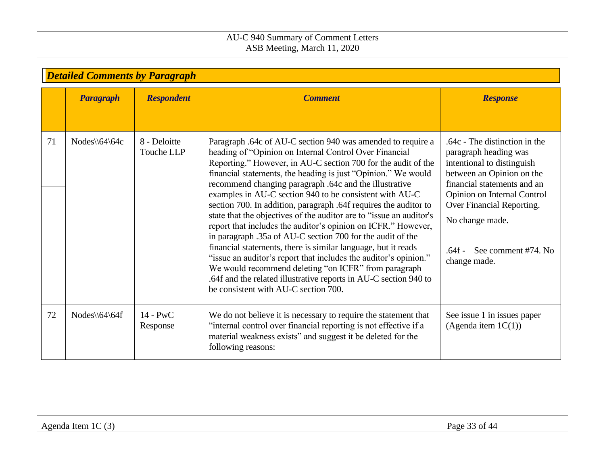<span id="page-32-0"></span>

|    | <b>Detailed Comments by Paragraph</b> |                            |                                                                                                                                                                                                                                                                                                                                                                                                                                                                                                                                                                                                                                                                                                                                                                                                                                                                                                                                                                 |                                                                                                                                                                                                                                                                                  |  |  |  |
|----|---------------------------------------|----------------------------|-----------------------------------------------------------------------------------------------------------------------------------------------------------------------------------------------------------------------------------------------------------------------------------------------------------------------------------------------------------------------------------------------------------------------------------------------------------------------------------------------------------------------------------------------------------------------------------------------------------------------------------------------------------------------------------------------------------------------------------------------------------------------------------------------------------------------------------------------------------------------------------------------------------------------------------------------------------------|----------------------------------------------------------------------------------------------------------------------------------------------------------------------------------------------------------------------------------------------------------------------------------|--|--|--|
|    | <b>Paragraph</b>                      | <b>Respondent</b>          | <b>Comment</b>                                                                                                                                                                                                                                                                                                                                                                                                                                                                                                                                                                                                                                                                                                                                                                                                                                                                                                                                                  | <b>Response</b>                                                                                                                                                                                                                                                                  |  |  |  |
| 71 | $Nodes \setminus 64 \setminus 64c$    | 8 - Deloitte<br>Touche LLP | Paragraph .64c of AU-C section 940 was amended to require a<br>heading of "Opinion on Internal Control Over Financial<br>Reporting." However, in AU-C section 700 for the audit of the<br>financial statements, the heading is just "Opinion." We would<br>recommend changing paragraph .64c and the illustrative<br>examples in AU-C section 940 to be consistent with AU-C<br>section 700. In addition, paragraph .64f requires the auditor to<br>state that the objectives of the auditor are to "issue an auditor's<br>report that includes the auditor's opinion on ICFR." However,<br>in paragraph .35a of AU-C section 700 for the audit of the<br>financial statements, there is similar language, but it reads<br>"issue an auditor's report that includes the auditor's opinion."<br>We would recommend deleting "on ICFR" from paragraph<br>.64f and the related illustrative reports in AU-C section 940 to<br>be consistent with AU-C section 700. | .64c - The distinction in the<br>paragraph heading was<br>intentional to distinguish<br>between an Opinion on the<br>financial statements and an<br>Opinion on Internal Control<br>Over Financial Reporting.<br>No change made.<br>See comment #74. No<br>.64f -<br>change made. |  |  |  |
| 72 | $Nodes \6464$                         | $14 - PWC$<br>Response     | We do not believe it is necessary to require the statement that<br>"internal control over financial reporting is not effective if a<br>material weakness exists" and suggest it be deleted for the<br>following reasons:                                                                                                                                                                                                                                                                                                                                                                                                                                                                                                                                                                                                                                                                                                                                        | See issue 1 in issues paper<br>(Agenda item $1C(1)$ )                                                                                                                                                                                                                            |  |  |  |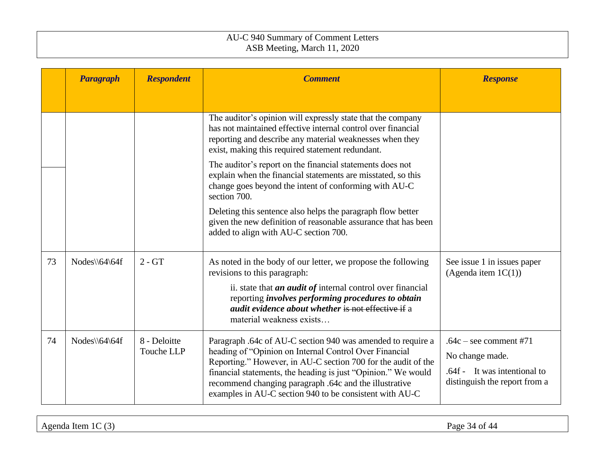|    | Paragraph     | <b>Respondent</b>          | <b>Comment</b>                                                                                                                                                                                                                                                                                                                                                               | <b>Response</b>                                                                                              |
|----|---------------|----------------------------|------------------------------------------------------------------------------------------------------------------------------------------------------------------------------------------------------------------------------------------------------------------------------------------------------------------------------------------------------------------------------|--------------------------------------------------------------------------------------------------------------|
|    |               |                            |                                                                                                                                                                                                                                                                                                                                                                              |                                                                                                              |
|    |               |                            | The auditor's opinion will expressly state that the company<br>has not maintained effective internal control over financial<br>reporting and describe any material weaknesses when they<br>exist, making this required statement redundant.                                                                                                                                  |                                                                                                              |
|    |               |                            | The auditor's report on the financial statements does not<br>explain when the financial statements are misstated, so this<br>change goes beyond the intent of conforming with AU-C<br>section 700.                                                                                                                                                                           |                                                                                                              |
|    |               |                            | Deleting this sentence also helps the paragraph flow better<br>given the new definition of reasonable assurance that has been<br>added to align with AU-C section 700.                                                                                                                                                                                                       |                                                                                                              |
| 73 | Nodes\\64\64f | $2 - GT$                   | As noted in the body of our letter, we propose the following<br>revisions to this paragraph:<br>ii. state that <i>an audit of</i> internal control over financial<br>reporting <i>involves performing procedures to obtain</i><br><i>audit evidence about whether</i> is not effective if a<br>material weakness exists                                                      | See issue 1 in issues paper<br>(Agenda item $1C(1)$ )                                                        |
| 74 | Nodes\\64\64f | 8 - Deloitte<br>Touche LLP | Paragraph .64c of AU-C section 940 was amended to require a<br>heading of "Opinion on Internal Control Over Financial<br>Reporting." However, in AU-C section 700 for the audit of the<br>financial statements, the heading is just "Opinion." We would<br>recommend changing paragraph .64c and the illustrative<br>examples in AU-C section 940 to be consistent with AU-C | $.64c$ – see comment #71<br>No change made.<br>.64f - It was intentional to<br>distinguish the report from a |

Agenda Item 1C (3) Page 34 of 44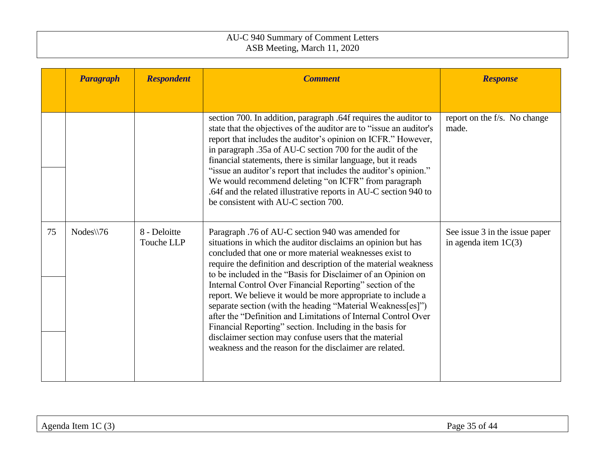|    | <b>Paragraph</b> | <b>Respondent</b>          | <b>Comment</b>                                                                                                                                                                                                                                                                                                                                                                                                                                                                                                                                                                                                                                                                                                                                                 | <b>Response</b>                                          |
|----|------------------|----------------------------|----------------------------------------------------------------------------------------------------------------------------------------------------------------------------------------------------------------------------------------------------------------------------------------------------------------------------------------------------------------------------------------------------------------------------------------------------------------------------------------------------------------------------------------------------------------------------------------------------------------------------------------------------------------------------------------------------------------------------------------------------------------|----------------------------------------------------------|
|    |                  |                            | section 700. In addition, paragraph .64f requires the auditor to<br>state that the objectives of the auditor are to "issue an auditor's<br>report that includes the auditor's opinion on ICFR." However,<br>in paragraph .35a of AU-C section 700 for the audit of the<br>financial statements, there is similar language, but it reads<br>"issue an auditor's report that includes the auditor's opinion."<br>We would recommend deleting "on ICFR" from paragraph<br>.64f and the related illustrative reports in AU-C section 940 to<br>be consistent with AU-C section 700.                                                                                                                                                                                | report on the f/s. No change<br>made.                    |
| 75 | $Nodes \$ 76     | 8 - Deloitte<br>Touche LLP | Paragraph .76 of AU-C section 940 was amended for<br>situations in which the auditor disclaims an opinion but has<br>concluded that one or more material weaknesses exist to<br>require the definition and description of the material weakness<br>to be included in the "Basis for Disclaimer of an Opinion on<br>Internal Control Over Financial Reporting" section of the<br>report. We believe it would be more appropriate to include a<br>separate section (with the heading "Material Weakness[es]")<br>after the "Definition and Limitations of Internal Control Over<br>Financial Reporting" section. Including in the basis for<br>disclaimer section may confuse users that the material<br>weakness and the reason for the disclaimer are related. | See issue 3 in the issue paper<br>in agenda item $1C(3)$ |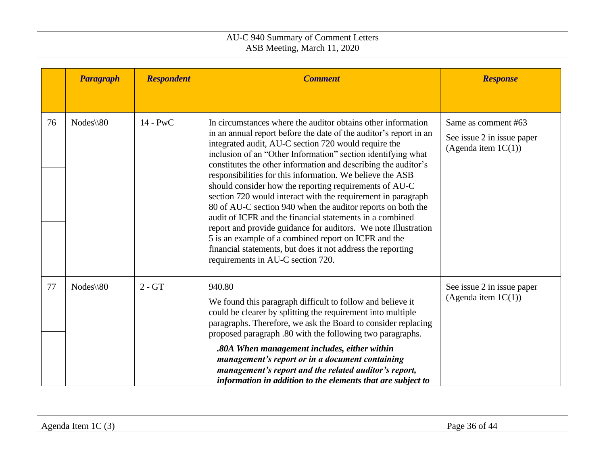|    | <b>Paragraph</b> | <b>Respondent</b> | <b>Comment</b>                                                                                                                                                                                                                                                                                                                                                                                                                                                                                                                                                                                                                                                                                                                                                                                                                                                              | <b>Response</b>                                                             |
|----|------------------|-------------------|-----------------------------------------------------------------------------------------------------------------------------------------------------------------------------------------------------------------------------------------------------------------------------------------------------------------------------------------------------------------------------------------------------------------------------------------------------------------------------------------------------------------------------------------------------------------------------------------------------------------------------------------------------------------------------------------------------------------------------------------------------------------------------------------------------------------------------------------------------------------------------|-----------------------------------------------------------------------------|
| 76 | Nodes\\80        | $14 - PWC$        | In circumstances where the auditor obtains other information<br>in an annual report before the date of the auditor's report in an<br>integrated audit, AU-C section 720 would require the<br>inclusion of an "Other Information" section identifying what<br>constitutes the other information and describing the auditor's<br>responsibilities for this information. We believe the ASB<br>should consider how the reporting requirements of AU-C<br>section 720 would interact with the requirement in paragraph<br>80 of AU-C section 940 when the auditor reports on both the<br>audit of ICFR and the financial statements in a combined<br>report and provide guidance for auditors. We note Illustration<br>5 is an example of a combined report on ICFR and the<br>financial statements, but does it not address the reporting<br>requirements in AU-C section 720. | Same as comment #63<br>See issue 2 in issue paper<br>(Agenda item $1C(1)$ ) |
| 77 | Nodes\\80        | $2 - GT$          | 940.80<br>We found this paragraph difficult to follow and believe it<br>could be clearer by splitting the requirement into multiple<br>paragraphs. Therefore, we ask the Board to consider replacing<br>proposed paragraph .80 with the following two paragraphs.<br>.80A When management includes, either within<br>management's report or in a document containing<br>management's report and the related auditor's report,<br>information in addition to the elements that are subject to                                                                                                                                                                                                                                                                                                                                                                                | See issue 2 in issue paper<br>(Agenda item $1C(1)$ )                        |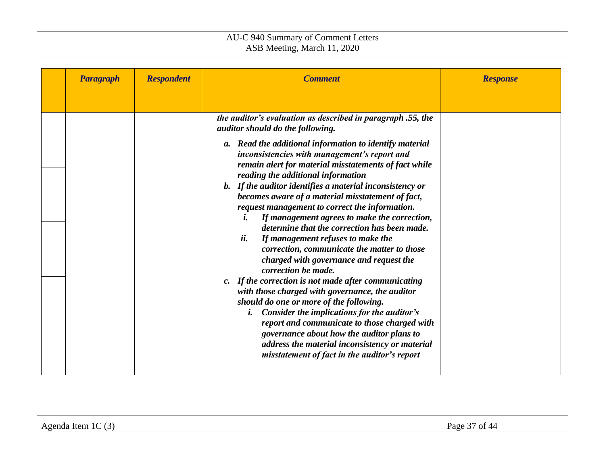| <b>Paragraph</b> | <b>Respondent</b> | <b>Comment</b>                                                                                                                                                                                                                                                                                                                                                                                             | <b>Response</b> |
|------------------|-------------------|------------------------------------------------------------------------------------------------------------------------------------------------------------------------------------------------------------------------------------------------------------------------------------------------------------------------------------------------------------------------------------------------------------|-----------------|
|                  |                   |                                                                                                                                                                                                                                                                                                                                                                                                            |                 |
|                  |                   | the auditor's evaluation as described in paragraph .55, the<br>auditor should do the following.                                                                                                                                                                                                                                                                                                            |                 |
|                  |                   | a. Read the additional information to identify material<br>inconsistencies with management's report and<br>remain alert for material misstatements of fact while<br>reading the additional information<br>b. If the auditor identifies a material inconsistency or                                                                                                                                         |                 |
|                  |                   | becomes aware of a material misstatement of fact,<br>request management to correct the information.<br>If management agrees to make the correction,<br>i.                                                                                                                                                                                                                                                  |                 |
|                  |                   | determine that the correction has been made.<br>ii.<br>If management refuses to make the<br>correction, communicate the matter to those<br>charged with governance and request the<br>correction be made.                                                                                                                                                                                                  |                 |
|                  |                   | c. If the correction is not made after communicating<br>with those charged with governance, the auditor<br>should do one or more of the following.<br><i>i.</i> Consider the implications for the auditor's<br>report and communicate to those charged with<br>governance about how the auditor plans to<br>address the material inconsistency or material<br>misstatement of fact in the auditor's report |                 |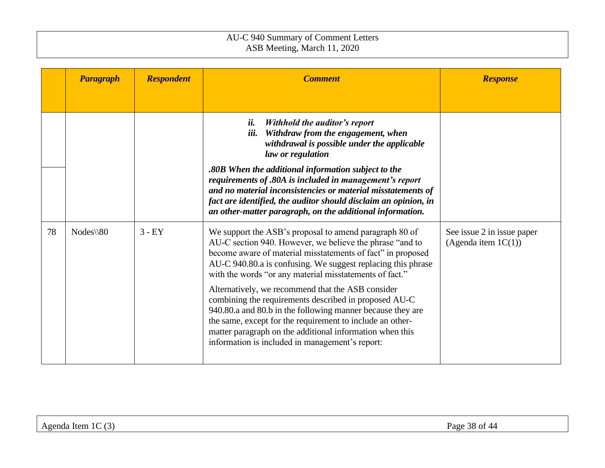|    | <b>Paragraph</b>     | <b>Respondent</b> | <b>Comment</b>                                                                                                                                                                                                                                                                                                                                                                                                                                                                                                                                                                                                                                                       | <b>Response</b>                                      |
|----|----------------------|-------------------|----------------------------------------------------------------------------------------------------------------------------------------------------------------------------------------------------------------------------------------------------------------------------------------------------------------------------------------------------------------------------------------------------------------------------------------------------------------------------------------------------------------------------------------------------------------------------------------------------------------------------------------------------------------------|------------------------------------------------------|
|    |                      |                   |                                                                                                                                                                                                                                                                                                                                                                                                                                                                                                                                                                                                                                                                      |                                                      |
|    |                      |                   | ii.<br>Withhold the auditor's report<br>iii.<br>Withdraw from the engagement, when<br>withdrawal is possible under the applicable<br>law or regulation<br>.80B When the additional information subject to the<br>requirements of .80A is included in management's report<br>and no material inconsistencies or material misstatements of<br>fact are identified, the auditor should disclaim an opinion, in<br>an other-matter paragraph, on the additional information.                                                                                                                                                                                             |                                                      |
| 78 | $Nodes \setminus 80$ | $3 - EY$          | We support the ASB's proposal to amend paragraph 80 of<br>AU-C section 940. However, we believe the phrase "and to<br>become aware of material misstatements of fact" in proposed<br>AU-C 940.80.a is confusing. We suggest replacing this phrase<br>with the words "or any material misstatements of fact."<br>Alternatively, we recommend that the ASB consider<br>combining the requirements described in proposed AU-C<br>940.80.a and 80.b in the following manner because they are<br>the same, except for the requirement to include an other-<br>matter paragraph on the additional information when this<br>information is included in management's report: | See issue 2 in issue paper<br>(Agenda item $1C(1)$ ) |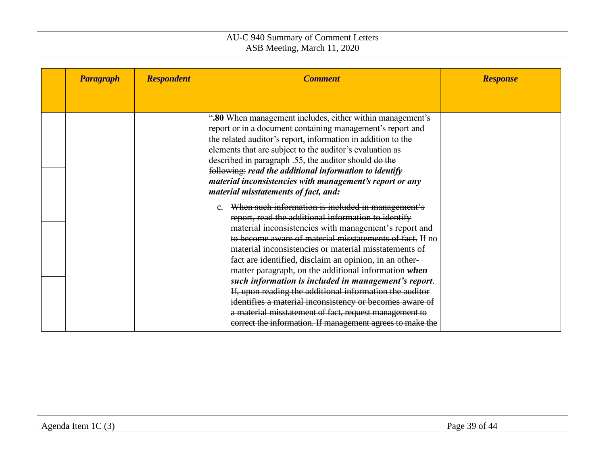| <b>Paragraph</b> | <b>Respondent</b> | <b>Comment</b>                                                                                                                                                                                                                                                                                                                                                                                                                                                                                                                                                                                                                                                                                                   | <b>Response</b> |
|------------------|-------------------|------------------------------------------------------------------------------------------------------------------------------------------------------------------------------------------------------------------------------------------------------------------------------------------------------------------------------------------------------------------------------------------------------------------------------------------------------------------------------------------------------------------------------------------------------------------------------------------------------------------------------------------------------------------------------------------------------------------|-----------------|
|                  |                   |                                                                                                                                                                                                                                                                                                                                                                                                                                                                                                                                                                                                                                                                                                                  |                 |
|                  |                   | ".80 When management includes, either within management's<br>report or in a document containing management's report and<br>the related auditor's report, information in addition to the<br>elements that are subject to the auditor's evaluation as<br>described in paragraph .55, the auditor should do the<br>following: read the additional information to identify<br>material inconsistencies with management's report or any<br>material misstatements of fact, and:                                                                                                                                                                                                                                       |                 |
|                  |                   | c. When such information is included in management's<br>report, read the additional information to identify<br>material inconsistencies with management's report and<br>to become aware of material misstatements of fact. If no<br>material inconsistencies or material misstatements of<br>fact are identified, disclaim an opinion, in an other-<br>matter paragraph, on the additional information when<br>such information is included in management's report.<br>If, upon reading the additional information the auditor<br>identifies a material inconsistency or becomes aware of<br>a material misstatement of fact, request management to<br>correct the information. If management agrees to make the |                 |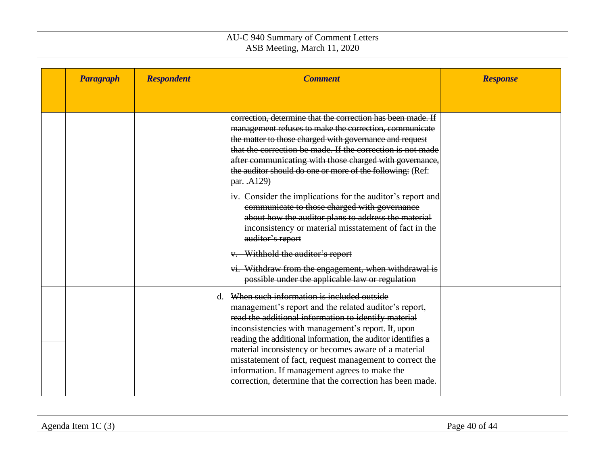| <b>Paragraph</b> | <b>Respondent</b> | <b>Comment</b>                                                                                                                                                                                                                                                                                                                                                                                                                                                                                                       | <b>Response</b> |
|------------------|-------------------|----------------------------------------------------------------------------------------------------------------------------------------------------------------------------------------------------------------------------------------------------------------------------------------------------------------------------------------------------------------------------------------------------------------------------------------------------------------------------------------------------------------------|-----------------|
|                  |                   |                                                                                                                                                                                                                                                                                                                                                                                                                                                                                                                      |                 |
|                  |                   | correction, determine that the correction has been made. If<br>management refuses to make the correction, communicate<br>the matter to those charged with governance and request<br>that the correction be made. If the correction is not made<br>after communicating with those charged with governance,<br>the auditor should do one or more of the following: (Ref:<br>par. .A129)                                                                                                                                |                 |
|                  |                   | iv. Consider the implications for the auditor's report and<br>communicate to those charged with governance<br>about how the auditor plans to address the material<br>inconsistency or material misstatement of fact in the<br>auditor's report                                                                                                                                                                                                                                                                       |                 |
|                  |                   | v. Withhold the auditor's report<br>vi. Withdraw from the engagement, when withdrawal is<br>possible under the applicable law or regulation                                                                                                                                                                                                                                                                                                                                                                          |                 |
|                  |                   | d. When such information is included outside<br>management's report and the related auditor's report,<br>read the additional information to identify material<br>inconsistencies with management's report. If, upon<br>reading the additional information, the auditor identifies a<br>material inconsistency or becomes aware of a material<br>misstatement of fact, request management to correct the<br>information. If management agrees to make the<br>correction, determine that the correction has been made. |                 |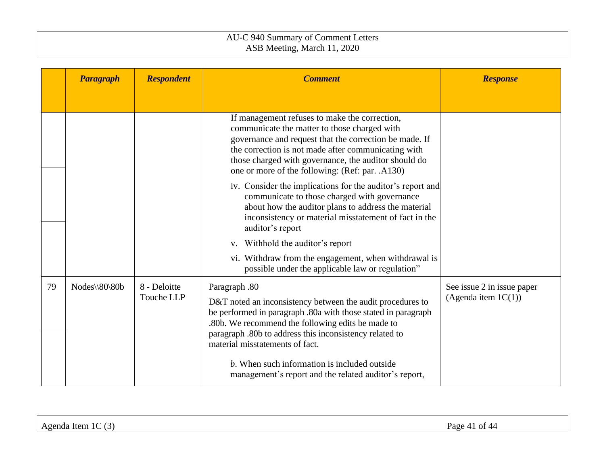|    | <b>Paragraph</b> | <b>Respondent</b>          | <b>Comment</b>                                                                                                                                                                                                                                                                                                                                  | <b>Response</b>                                      |
|----|------------------|----------------------------|-------------------------------------------------------------------------------------------------------------------------------------------------------------------------------------------------------------------------------------------------------------------------------------------------------------------------------------------------|------------------------------------------------------|
|    |                  |                            |                                                                                                                                                                                                                                                                                                                                                 |                                                      |
|    |                  |                            | If management refuses to make the correction,<br>communicate the matter to those charged with<br>governance and request that the correction be made. If<br>the correction is not made after communicating with<br>those charged with governance, the auditor should do<br>one or more of the following: (Ref: par. .A130)                       |                                                      |
|    |                  |                            | iv. Consider the implications for the auditor's report and<br>communicate to those charged with governance<br>about how the auditor plans to address the material<br>inconsistency or material misstatement of fact in the<br>auditor's report                                                                                                  |                                                      |
|    |                  |                            | v. Withhold the auditor's report                                                                                                                                                                                                                                                                                                                |                                                      |
|    |                  |                            | vi. Withdraw from the engagement, when withdrawal is<br>possible under the applicable law or regulation"                                                                                                                                                                                                                                        |                                                      |
| 79 | Nodes\\80\80b    | 8 - Deloitte<br>Touche LLP | Paragraph .80<br>D&T noted an inconsistency between the audit procedures to<br>be performed in paragraph .80a with those stated in paragraph<br>.80b. We recommend the following edits be made to<br>paragraph .80b to address this inconsistency related to<br>material misstatements of fact.<br>b. When such information is included outside | See issue 2 in issue paper<br>(Agenda item $1C(1)$ ) |
|    |                  |                            | management's report and the related auditor's report,                                                                                                                                                                                                                                                                                           |                                                      |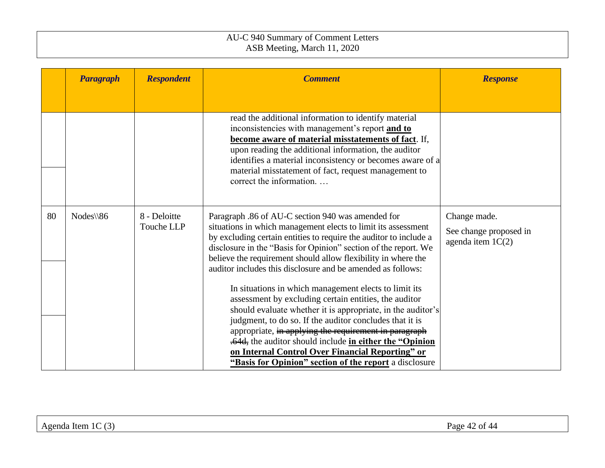|    | <b>Paragraph</b>     | <b>Respondent</b>          | <b>Comment</b>                                                                                                                                                                                                                                                                                                                                                                                                                                                                                                                                                                                                                                                                                                                                                                                                                                                            | <b>Response</b>                                               |
|----|----------------------|----------------------------|---------------------------------------------------------------------------------------------------------------------------------------------------------------------------------------------------------------------------------------------------------------------------------------------------------------------------------------------------------------------------------------------------------------------------------------------------------------------------------------------------------------------------------------------------------------------------------------------------------------------------------------------------------------------------------------------------------------------------------------------------------------------------------------------------------------------------------------------------------------------------|---------------------------------------------------------------|
|    |                      |                            | read the additional information to identify material<br>inconsistencies with management's report and to<br>become aware of material misstatements of fact. If,<br>upon reading the additional information, the auditor<br>identifies a material inconsistency or becomes aware of a<br>material misstatement of fact, request management to<br>correct the information                                                                                                                                                                                                                                                                                                                                                                                                                                                                                                    |                                                               |
| 80 | $Nodes \setminus 86$ | 8 - Deloitte<br>Touche LLP | Paragraph .86 of AU-C section 940 was amended for<br>situations in which management elects to limit its assessment<br>by excluding certain entities to require the auditor to include a<br>disclosure in the "Basis for Opinion" section of the report. We<br>believe the requirement should allow flexibility in where the<br>auditor includes this disclosure and be amended as follows:<br>In situations in which management elects to limit its<br>assessment by excluding certain entities, the auditor<br>should evaluate whether it is appropriate, in the auditor's<br>judgment, to do so. If the auditor concludes that it is<br>appropriate, in applying the requirement in paragraph<br>.64d, the auditor should include in either the "Opinion"<br>on Internal Control Over Financial Reporting" or<br>"Basis for Opinion" section of the report a disclosure | Change made.<br>See change proposed in<br>agenda item $1C(2)$ |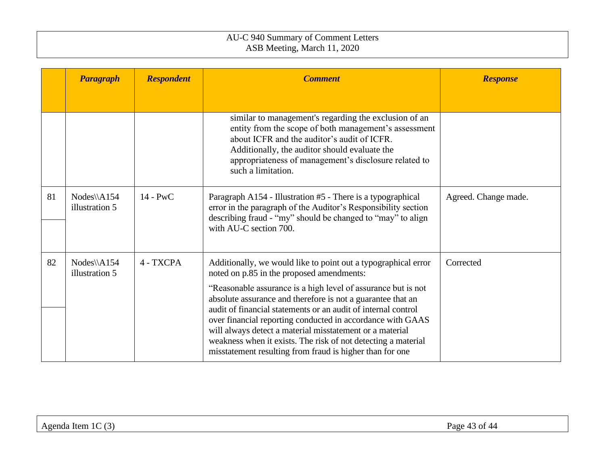|    | <b>Paragraph</b>               | <b>Respondent</b> | <b>Comment</b>                                                                                                                                                                                                                                                                                                                                                                                                                                                                                                                                                      | <b>Response</b>      |
|----|--------------------------------|-------------------|---------------------------------------------------------------------------------------------------------------------------------------------------------------------------------------------------------------------------------------------------------------------------------------------------------------------------------------------------------------------------------------------------------------------------------------------------------------------------------------------------------------------------------------------------------------------|----------------------|
|    |                                |                   |                                                                                                                                                                                                                                                                                                                                                                                                                                                                                                                                                                     |                      |
|    |                                |                   | similar to management's regarding the exclusion of an<br>entity from the scope of both management's assessment<br>about ICFR and the auditor's audit of ICFR.<br>Additionally, the auditor should evaluate the<br>appropriateness of management's disclosure related to<br>such a limitation.                                                                                                                                                                                                                                                                       |                      |
| 81 | $Nodes\A154$<br>illustration 5 | $14 - PWC$        | Paragraph A154 - Illustration #5 - There is a typographical<br>error in the paragraph of the Auditor's Responsibility section<br>describing fraud - "my" should be changed to "may" to align<br>with AU-C section 700.                                                                                                                                                                                                                                                                                                                                              | Agreed. Change made. |
| 82 | $Nodes\A154$<br>illustration 5 | 4 - TXCPA         | Additionally, we would like to point out a typographical error<br>noted on p.85 in the proposed amendments:<br>"Reasonable assurance is a high level of assurance but is not<br>absolute assurance and therefore is not a guarantee that an<br>audit of financial statements or an audit of internal control<br>over financial reporting conducted in accordance with GAAS<br>will always detect a material misstatement or a material<br>weakness when it exists. The risk of not detecting a material<br>misstatement resulting from fraud is higher than for one | Corrected            |